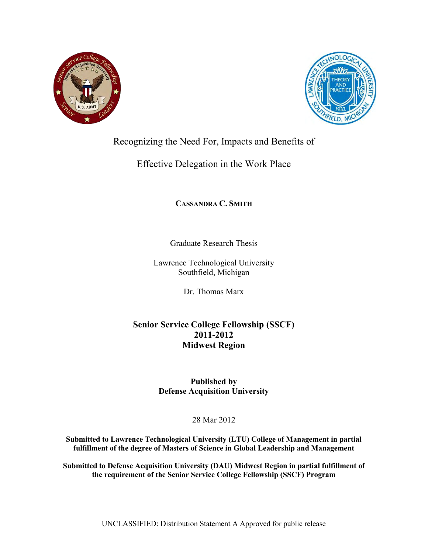



# Recognizing the Need For, Impacts and Benefits of

## Effective Delegation in the Work Place

## **CASSANDRA C. SMITH**

Graduate Research Thesis

Lawrence Technological University Southfield, Michigan

Dr. Thomas Marx

## **Senior Service College Fellowship (SSCF) 2011-2012 Midwest Region**

**Published by Defense Acquisition University** 

28 Mar 2012

**Submitted to Lawrence Technological University (LTU) College of Management in partial fulfillment of the degree of Masters of Science in Global Leadership and Management** 

**Submitted to Defense Acquisition University (DAU) Midwest Region in partial fulfillment of the requirement of the Senior Service College Fellowship (SSCF) Program**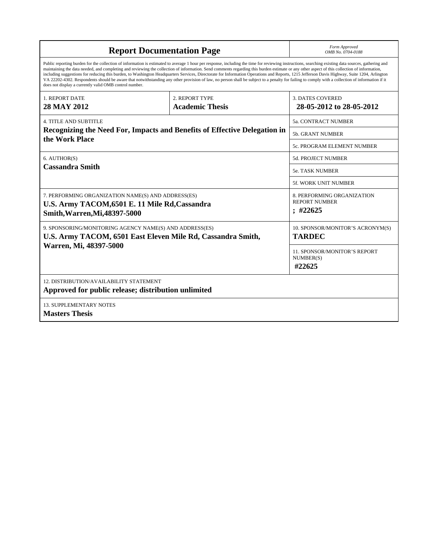| <b>Report Documentation Page</b>                                                                                                                                                                                                                                                                                                                                                                                                                                                                                                                                                                                                                                                                                                                                                                                                                                   | Form Approved<br>OMB No. 0704-0188 |                                                  |  |  |  |  |
|--------------------------------------------------------------------------------------------------------------------------------------------------------------------------------------------------------------------------------------------------------------------------------------------------------------------------------------------------------------------------------------------------------------------------------------------------------------------------------------------------------------------------------------------------------------------------------------------------------------------------------------------------------------------------------------------------------------------------------------------------------------------------------------------------------------------------------------------------------------------|------------------------------------|--------------------------------------------------|--|--|--|--|
| Public reporting burden for the collection of information is estimated to average 1 hour per response, including the time for reviewing instructions, searching existing data sources, gathering and<br>maintaining the data needed, and completing and reviewing the collection of information. Send comments regarding this burden estimate or any other aspect of this collection of information,<br>including suggestions for reducing this burden, to Washington Headquarters Services, Directorate for Information Operations and Reports, 1215 Jefferson Davis Highway, Suite 1204, Arlington<br>VA 22202-4302. Respondents should be aware that notwithstanding any other provision of law, no person shall be subject to a penalty for failing to comply with a collection of information if it<br>does not display a currently valid OMB control number. |                                    |                                                  |  |  |  |  |
| 1. REPORT DATE                                                                                                                                                                                                                                                                                                                                                                                                                                                                                                                                                                                                                                                                                                                                                                                                                                                     | 2. REPORT TYPE                     | <b>3. DATES COVERED</b>                          |  |  |  |  |
| 28 MAY 2012                                                                                                                                                                                                                                                                                                                                                                                                                                                                                                                                                                                                                                                                                                                                                                                                                                                        | <b>Academic Thesis</b>             | 28-05-2012 to 28-05-2012                         |  |  |  |  |
| 4. TITLE AND SUBTITLE                                                                                                                                                                                                                                                                                                                                                                                                                                                                                                                                                                                                                                                                                                                                                                                                                                              |                                    | <b>5a. CONTRACT NUMBER</b>                       |  |  |  |  |
| Recognizing the Need For, Impacts and Benefits of Effective Delegation in<br>the Work Place                                                                                                                                                                                                                                                                                                                                                                                                                                                                                                                                                                                                                                                                                                                                                                        |                                    | 5b. GRANT NUMBER                                 |  |  |  |  |
|                                                                                                                                                                                                                                                                                                                                                                                                                                                                                                                                                                                                                                                                                                                                                                                                                                                                    |                                    | 5c. PROGRAM ELEMENT NUMBER                       |  |  |  |  |
| 6. AUTHOR(S)                                                                                                                                                                                                                                                                                                                                                                                                                                                                                                                                                                                                                                                                                                                                                                                                                                                       |                                    | <b>5d. PROJECT NUMBER</b>                        |  |  |  |  |
| <b>Cassandra Smith</b>                                                                                                                                                                                                                                                                                                                                                                                                                                                                                                                                                                                                                                                                                                                                                                                                                                             |                                    | <b>5e. TASK NUMBER</b>                           |  |  |  |  |
|                                                                                                                                                                                                                                                                                                                                                                                                                                                                                                                                                                                                                                                                                                                                                                                                                                                                    |                                    | 5f. WORK UNIT NUMBER                             |  |  |  |  |
| 7. PERFORMING ORGANIZATION NAME(S) AND ADDRESS(ES)                                                                                                                                                                                                                                                                                                                                                                                                                                                                                                                                                                                                                                                                                                                                                                                                                 |                                    | 8. PERFORMING ORGANIZATION                       |  |  |  |  |
| U.S. Army TACOM, 6501 E. 11 Mile Rd, Cassandra                                                                                                                                                                                                                                                                                                                                                                                                                                                                                                                                                                                                                                                                                                                                                                                                                     |                                    | <b>REPORT NUMBER</b><br>; 422625                 |  |  |  |  |
| Smith, Warren, Mi, 48397-5000                                                                                                                                                                                                                                                                                                                                                                                                                                                                                                                                                                                                                                                                                                                                                                                                                                      |                                    |                                                  |  |  |  |  |
| 9. SPONSORING/MONITORING AGENCY NAME(S) AND ADDRESS(ES)                                                                                                                                                                                                                                                                                                                                                                                                                                                                                                                                                                                                                                                                                                                                                                                                            |                                    | 10. SPONSOR/MONITOR'S ACRONYM(S)                 |  |  |  |  |
| U.S. Army TACOM, 6501 East Eleven Mile Rd, Cassandra Smith,                                                                                                                                                                                                                                                                                                                                                                                                                                                                                                                                                                                                                                                                                                                                                                                                        |                                    | <b>TARDEC</b>                                    |  |  |  |  |
| Warren, Mi, 48397-5000                                                                                                                                                                                                                                                                                                                                                                                                                                                                                                                                                                                                                                                                                                                                                                                                                                             |                                    | <b>11. SPONSOR/MONITOR'S REPORT</b><br>NUMBER(S) |  |  |  |  |
|                                                                                                                                                                                                                                                                                                                                                                                                                                                                                                                                                                                                                                                                                                                                                                                                                                                                    |                                    | #22625                                           |  |  |  |  |
| 12. DISTRIBUTION/AVAILABILITY STATEMENT<br>Approved for public release; distribution unlimited                                                                                                                                                                                                                                                                                                                                                                                                                                                                                                                                                                                                                                                                                                                                                                     |                                    |                                                  |  |  |  |  |
| <b>13. SUPPLEMENTARY NOTES</b>                                                                                                                                                                                                                                                                                                                                                                                                                                                                                                                                                                                                                                                                                                                                                                                                                                     |                                    |                                                  |  |  |  |  |
| <b>Masters Thesis</b>                                                                                                                                                                                                                                                                                                                                                                                                                                                                                                                                                                                                                                                                                                                                                                                                                                              |                                    |                                                  |  |  |  |  |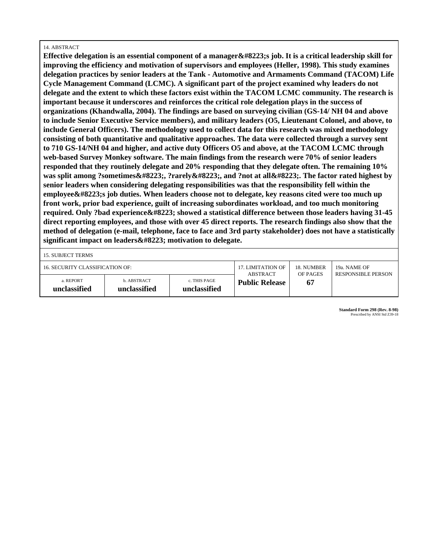#### 14. ABSTRACT

**Effective delegation is an essential component of a manager " s job. It is a critical leadership skill for improving the efficiency and motivation of supervisors and employees (Heller, 1998). This study examines delegation practices by senior leaders at the Tank - Automotive and Armaments Command (TACOM) Life Cycle Management Command (LCMC). A significant part of the project examined why leaders do not delegate and the extent to which these factors exist within the TACOM LCMC community. The research is important because it underscores and reinforces the critical role delegation plays in the success of organizations (Khandwalla, 2004). The findings are based on surveying civilian (GS-14/ NH 04 and above to include Senior Executive Service members), and military leaders (O5, Lieutenant Colonel, and above, to include General Officers). The methodology used to collect data for this research was mixed methodology consisting of both quantitative and qualitative approaches. The data were collected through a survey sent to 710 GS-14/NH 04 and higher, and active duty Officers O5 and above, at the TACOM LCMC through web-based Survey Monkey software. The main findings from the research were 70% of senior leaders responded that they routinely delegate and 20% responding that they delegate often. The remaining 10%** was split among ?sometimes", ?rarely", and ?not at all". The factor rated highest by **senior leaders when considering delegating responsibilities was that the responsibility fell within the** employee"s job duties. When leaders choose not to delegate, key reasons cited were too much up **front work, prior bad experience, guilt of increasing subordinates workload, and too much monitoring** required. Only ?bad experience " showed a statistical difference between those leaders having 31-45 **direct reporting employees, and those with over 45 direct reports. The research findings also show that the method of delegation (e-mail, telephone, face to face and 3rd party stakeholder) does not have a statistically** significant impact on leaders  $‟$ ; motivation to delegate.

15. SUBJECT TERMS

| 16. SECURITY CLASSIFICATION OF: |                             | 17. LIMITATION OF<br>ABSTRACT | 18 NUMBER<br>OF PAGES | 19a. NAME OF<br><b>RESPONSIBLE PERSON</b> |  |
|---------------------------------|-----------------------------|-------------------------------|-----------------------|-------------------------------------------|--|
| a. REPORT<br>unclassified       | b. ABSTRACT<br>unclassified | c. THIS PAGE<br>unclassified  | <b>Public Release</b> | 67                                        |  |

**Standard Form 298 (Rev. 8-98)** Prescribed by ANSI Std Z39-18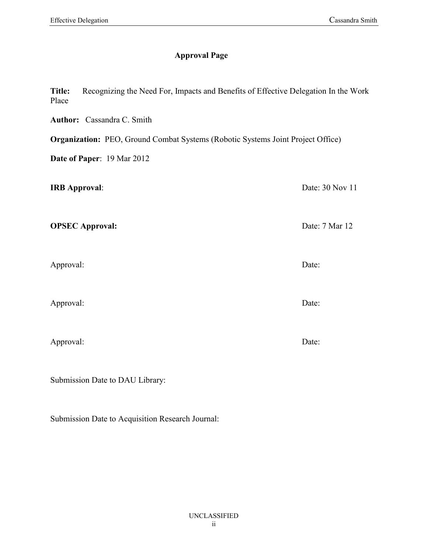## **Approval Page**

**Title:** Recognizing the Need For, Impacts and Benefits of Effective Delegation In the Work Place

**Author:** Cassandra C. Smith

**Organization:** PEO, Ground Combat Systems (Robotic Systems Joint Project Office)

**Date of Paper**: 19 Mar 2012

**IRB Approval:** Date: 30 Nov 11

**OPSEC Approval:** Date: 7 Mar 12

Approval: Date:

Approval: Date:

Approval: Date:

Submission Date to DAU Library:

Submission Date to Acquisition Research Journal: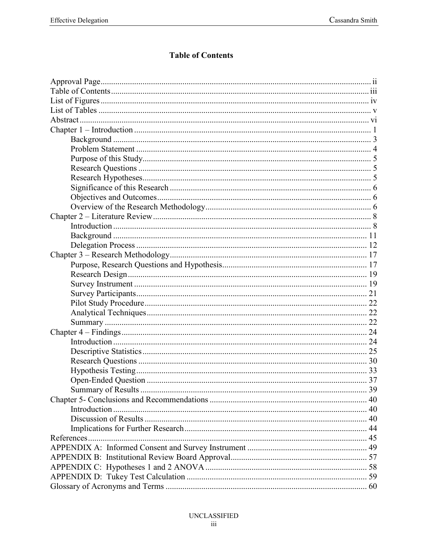## **Table of Contents**

| 39 |
|----|
|    |
|    |
|    |
|    |
|    |
|    |
|    |
|    |
|    |
|    |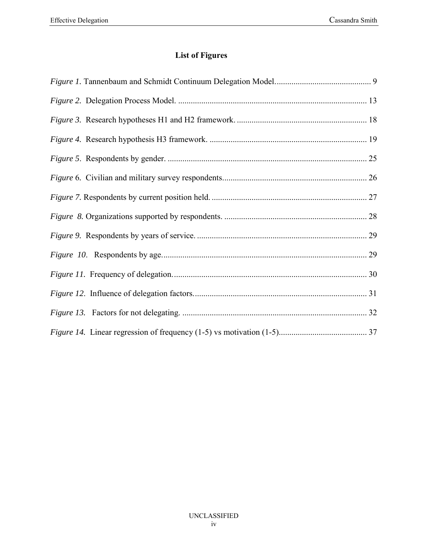# **List of Figures**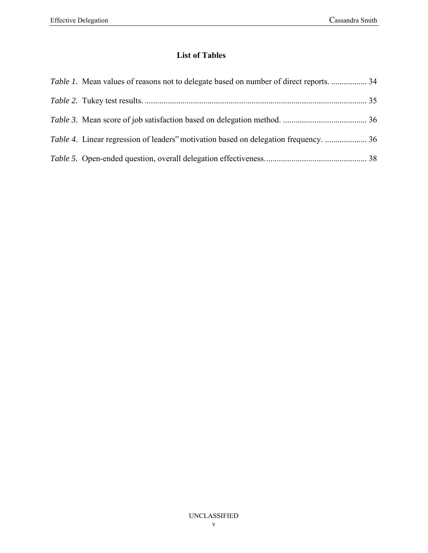## **List of Tables**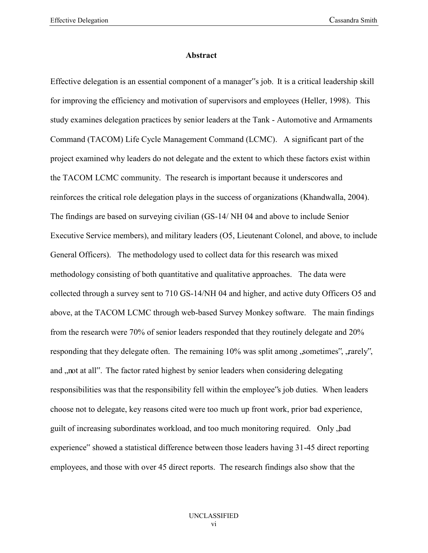#### **Abstract**

Effective delegation is an essential component of a manager"s job. It is a critical leadership skill for improving the efficiency and motivation of supervisors and employees (Heller, 1998). This study examines delegation practices by senior leaders at the Tank - Automotive and Armaments Command (TACOM) Life Cycle Management Command (LCMC). A significant part of the project examined why leaders do not delegate and the extent to which these factors exist within the TACOM LCMC community. The research is important because it underscores and reinforces the critical role delegation plays in the success of organizations (Khandwalla, 2004). The findings are based on surveying civilian (GS-14/ NH 04 and above to include Senior Executive Service members), and military leaders (O5, Lieutenant Colonel, and above, to include General Officers). The methodology used to collect data for this research was mixed methodology consisting of both quantitative and qualitative approaches. The data were collected through a survey sent to 710 GS-14/NH 04 and higher, and active duty Officers O5 and above, at the TACOM LCMC through web-based Survey Monkey software. The main findings from the research were 70% of senior leaders responded that they routinely delegate and 20% responding that they delegate often. The remaining 10% was split among , sometimes", , rarely", and "not at all". The factor rated highest by senior leaders when considering delegating responsibilities was that the responsibility fell within the employee"s job duties. When leaders choose not to delegate, key reasons cited were too much up front work, prior bad experience, guilt of increasing subordinates workload, and too much monitoring required. Only "bad experience" showed a statistical difference between those leaders having 31-45 direct reporting employees, and those with over 45 direct reports. The research findings also show that the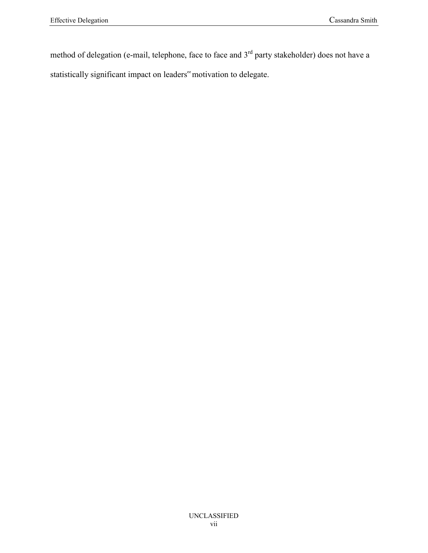method of delegation (e-mail, telephone, face to face and 3<sup>rd</sup> party stakeholder) does not have a statistically significant impact on leaders" motivation to delegate.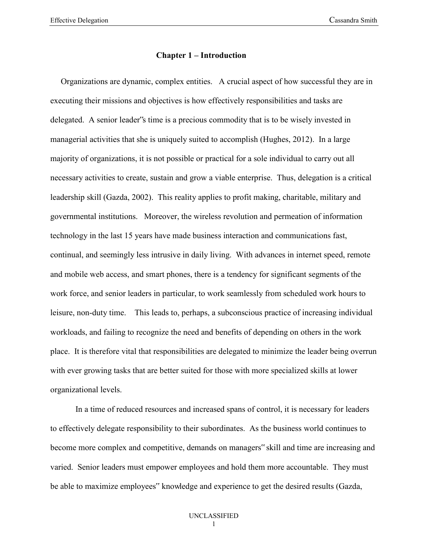#### **Chapter 1 – Introduction**

 Organizations are dynamic, complex entities. A crucial aspect of how successful they are in executing their missions and objectives is how effectively responsibilities and tasks are delegated. A senior leader"s time is a precious commodity that is to be wisely invested in managerial activities that she is uniquely suited to accomplish (Hughes, 2012). In a large majority of organizations, it is not possible or practical for a sole individual to carry out all necessary activities to create, sustain and grow a viable enterprise. Thus, delegation is a critical leadership skill (Gazda, 2002). This reality applies to profit making, charitable, military and governmental institutions. Moreover, the wireless revolution and permeation of information technology in the last 15 years have made business interaction and communications fast, continual, and seemingly less intrusive in daily living. With advances in internet speed, remote and mobile web access, and smart phones, there is a tendency for significant segments of the work force, and senior leaders in particular, to work seamlessly from scheduled work hours to leisure, non-duty time. This leads to, perhaps, a subconscious practice of increasing individual workloads, and failing to recognize the need and benefits of depending on others in the work place. It is therefore vital that responsibilities are delegated to minimize the leader being overrun with ever growing tasks that are better suited for those with more specialized skills at lower organizational levels.

In a time of reduced resources and increased spans of control, it is necessary for leaders to effectively delegate responsibility to their subordinates. As the business world continues to become more complex and competitive, demands on managers" skill and time are increasing and varied. Senior leaders must empower employees and hold them more accountable. They must be able to maximize employees" knowledge and experience to get the desired results (Gazda,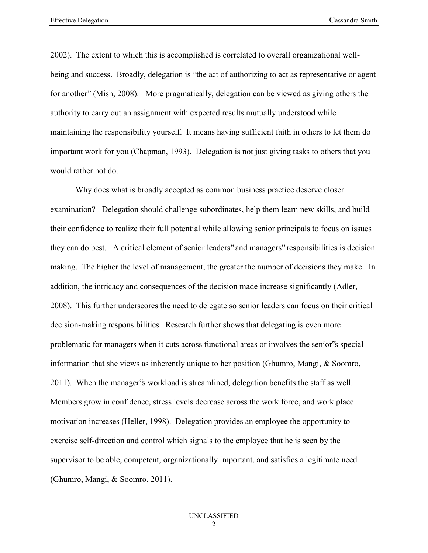2002). The extent to which this is accomplished is correlated to overall organizational wellbeing and success. Broadly, delegation is "the act of authorizing to act as representative or agent for another" (Mish, 2008). More pragmatically, delegation can be viewed as giving others the authority to carry out an assignment with expected results mutually understood while maintaining the responsibility yourself. It means having sufficient faith in others to let them do important work for you (Chapman, 1993). Delegation is not just giving tasks to others that you would rather not do.

Why does what is broadly accepted as common business practice deserve closer examination? Delegation should challenge subordinates, help them learn new skills, and build their confidence to realize their full potential while allowing senior principals to focus on issues they can do best. A critical element of senior leaders" and managers" responsibilities is decision making. The higher the level of management, the greater the number of decisions they make. In addition, the intricacy and consequences of the decision made increase significantly (Adler, 2008). This further underscores the need to delegate so senior leaders can focus on their critical decision-making responsibilities. Research further shows that delegating is even more problematic for managers when it cuts across functional areas or involves the senior"s special information that she views as inherently unique to her position (Ghumro, Mangi, & Soomro, 2011). When the manager"s workload is streamlined, delegation benefits the staff as well. Members grow in confidence, stress levels decrease across the work force, and work place motivation increases (Heller, 1998). Delegation provides an employee the opportunity to exercise self-direction and control which signals to the employee that he is seen by the supervisor to be able, competent, organizationally important, and satisfies a legitimate need (Ghumro, Mangi, & Soomro, 2011).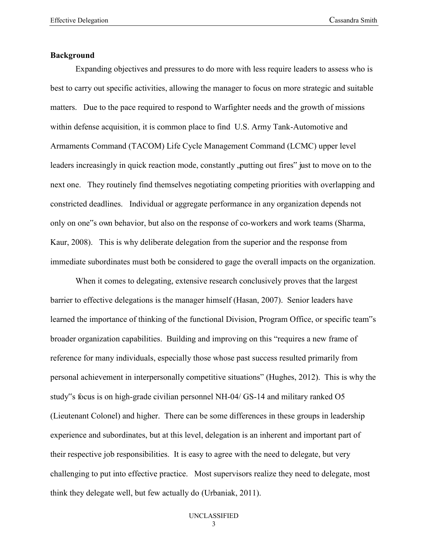#### **Background**

Expanding objectives and pressures to do more with less require leaders to assess who is best to carry out specific activities, allowing the manager to focus on more strategic and suitable matters. Due to the pace required to respond to Warfighter needs and the growth of missions within defense acquisition, it is common place to find U.S. Army Tank-Automotive and Armaments Command (TACOM) Life Cycle Management Command (LCMC) upper level leaders increasingly in quick reaction mode, constantly putting out fires" just to move on to the next one. They routinely find themselves negotiating competing priorities with overlapping and constricted deadlines. Individual or aggregate performance in any organization depends not only on one"s own behavior, but also on the response of co-workers and work teams (Sharma, Kaur, 2008). This is why deliberate delegation from the superior and the response from immediate subordinates must both be considered to gage the overall impacts on the organization.

When it comes to delegating, extensive research conclusively proves that the largest barrier to effective delegations is the manager himself (Hasan, 2007). Senior leaders have learned the importance of thinking of the functional Division, Program Office, or specific team"s broader organization capabilities. Building and improving on this "requires a new frame of reference for many individuals, especially those whose past success resulted primarily from personal achievement in interpersonally competitive situations" (Hughes, 2012). This is why the study"s focus is on high-grade civilian personnel NH-04/ GS-14 and military ranked O5 (Lieutenant Colonel) and higher. There can be some differences in these groups in leadership experience and subordinates, but at this level, delegation is an inherent and important part of their respective job responsibilities. It is easy to agree with the need to delegate, but very challenging to put into effective practice. Most supervisors realize they need to delegate, most think they delegate well, but few actually do (Urbaniak, 2011).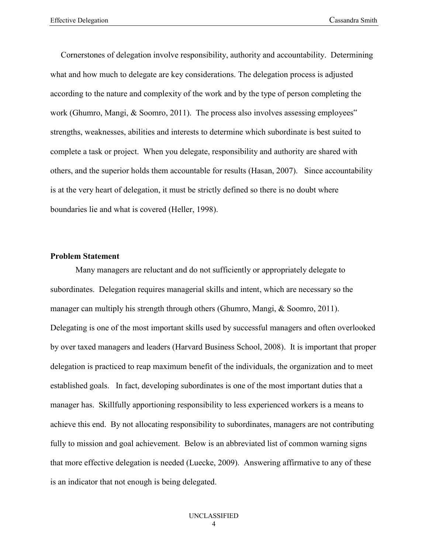Cornerstones of delegation involve responsibility, authority and accountability. Determining what and how much to delegate are key considerations. The delegation process is adjusted according to the nature and complexity of the work and by the type of person completing the work (Ghumro, Mangi, & Soomro, 2011). The process also involves assessing employees" strengths, weaknesses, abilities and interests to determine which subordinate is best suited to complete a task or project. When you delegate, responsibility and authority are shared with others, and the superior holds them accountable for results (Hasan, 2007). Since accountability is at the very heart of delegation, it must be strictly defined so there is no doubt where boundaries lie and what is covered (Heller, 1998).

#### **Problem Statement**

Many managers are reluctant and do not sufficiently or appropriately delegate to subordinates. Delegation requires managerial skills and intent, which are necessary so the manager can multiply his strength through others (Ghumro, Mangi, & Soomro, 2011). Delegating is one of the most important skills used by successful managers and often overlooked by over taxed managers and leaders (Harvard Business School, 2008). It is important that proper delegation is practiced to reap maximum benefit of the individuals, the organization and to meet established goals. In fact, developing subordinates is one of the most important duties that a manager has. Skillfully apportioning responsibility to less experienced workers is a means to achieve this end. By not allocating responsibility to subordinates, managers are not contributing fully to mission and goal achievement. Below is an abbreviated list of common warning signs that more effective delegation is needed (Luecke, 2009). Answering affirmative to any of these is an indicator that not enough is being delegated.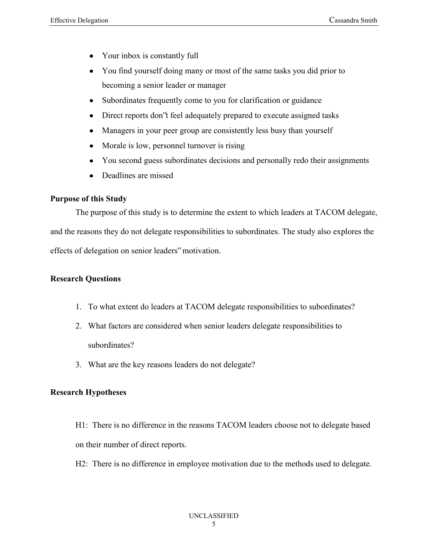- Your inbox is constantly full
- You find yourself doing many or most of the same tasks you did prior to  $\bullet$ becoming a senior leader or manager
- Subordinates frequently come to you for clarification or guidance  $\bullet$
- Direct reports don"t feel adequately prepared to execute assigned tasks  $\bullet$
- Managers in your peer group are consistently less busy than yourself  $\bullet$
- Morale is low, personnel turnover is rising  $\bullet$
- You second guess subordinates decisions and personally redo their assignments  $\bullet$
- Deadlines are missed

## **Purpose of this Study**

The purpose of this study is to determine the extent to which leaders at TACOM delegate, and the reasons they do not delegate responsibilities to subordinates. The study also explores the effects of delegation on senior leaders" motivation.

## **Research Questions**

- 1. To what extent do leaders at TACOM delegate responsibilities to subordinates?
- 2. What factors are considered when senior leaders delegate responsibilities to subordinates?
- 3. What are the key reasons leaders do not delegate?

## **Research Hypotheses**

- H1: There is no difference in the reasons TACOM leaders choose not to delegate based on their number of direct reports.
- H2: There is no difference in employee motivation due to the methods used to delegate.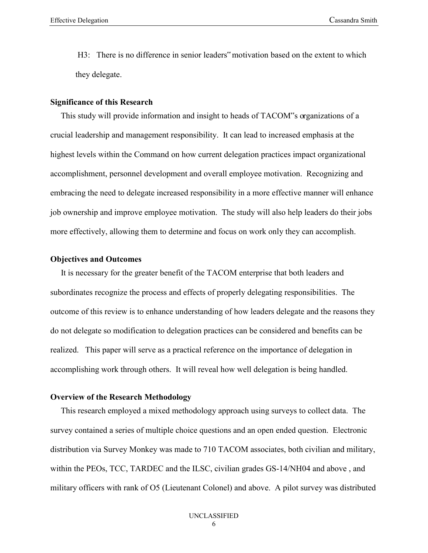H3: There is no difference in senior leaders" motivation based on the extent to which they delegate.

#### **Significance of this Research**

 This study will provide information and insight to heads of TACOM"s organizations of a crucial leadership and management responsibility. It can lead to increased emphasis at the highest levels within the Command on how current delegation practices impact organizational accomplishment, personnel development and overall employee motivation. Recognizing and embracing the need to delegate increased responsibility in a more effective manner will enhance job ownership and improve employee motivation. The study will also help leaders do their jobs more effectively, allowing them to determine and focus on work only they can accomplish.

#### **Objectives and Outcomes**

 It is necessary for the greater benefit of the TACOM enterprise that both leaders and subordinates recognize the process and effects of properly delegating responsibilities. The outcome of this review is to enhance understanding of how leaders delegate and the reasons they do not delegate so modification to delegation practices can be considered and benefits can be realized. This paper will serve as a practical reference on the importance of delegation in accomplishing work through others. It will reveal how well delegation is being handled.

#### **Overview of the Research Methodology**

 This research employed a mixed methodology approach using surveys to collect data. The survey contained a series of multiple choice questions and an open ended question. Electronic distribution via Survey Monkey was made to 710 TACOM associates, both civilian and military, within the PEOs, TCC, TARDEC and the ILSC, civilian grades GS-14/NH04 and above , and military officers with rank of O5 (Lieutenant Colonel) and above. A pilot survey was distributed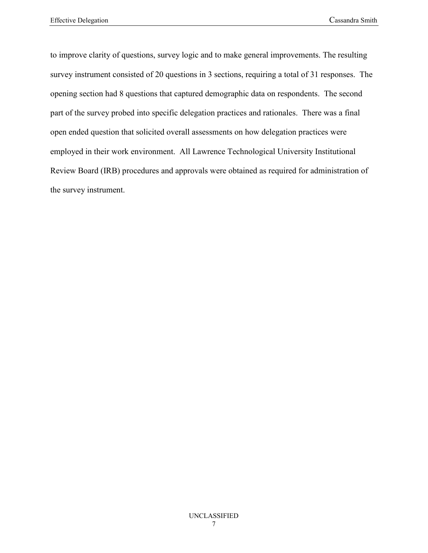to improve clarity of questions, survey logic and to make general improvements. The resulting survey instrument consisted of 20 questions in 3 sections, requiring a total of 31 responses. The opening section had 8 questions that captured demographic data on respondents. The second part of the survey probed into specific delegation practices and rationales. There was a final open ended question that solicited overall assessments on how delegation practices were employed in their work environment. All Lawrence Technological University Institutional Review Board (IRB) procedures and approvals were obtained as required for administration of the survey instrument.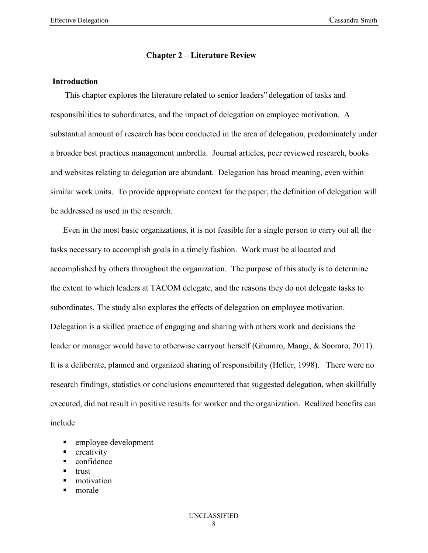#### **Chapter 2 – Literature Review**

#### **Introduction**

 This chapter explores the literature related to senior leaders" delegation of tasks and responsibilities to subordinates, and the impact of delegation on employee motivation. A substantial amount of research has been conducted in the area of delegation, predominately under a broader best practices management umbrella. Journal articles, peer reviewed research, books and websites relating to delegation are abundant. Delegation has broad meaning, even within similar work units. To provide appropriate context for the paper, the definition of delegation will be addressed as used in the research.

 Even in the most basic organizations, it is not feasible for a single person to carry out all the tasks necessary to accomplish goals in a timely fashion. Work must be allocated and accomplished by others throughout the organization. The purpose of this study is to determine the extent to which leaders at TACOM delegate, and the reasons they do not delegate tasks to subordinates. The study also explores the effects of delegation on employee motivation. Delegation is a skilled practice of engaging and sharing with others work and decisions the leader or manager would have to otherwise carryout herself (Ghumro, Mangi, & Soomro, 2011). It is a deliberate, planned and organized sharing of responsibility (Heller, 1998). There were no research findings, statistics or conclusions encountered that suggested delegation, when skillfully executed, did not result in positive results for worker and the organization. Realized benefits can include

- **EXECUTE:** employee development
- creativity
- confidence
- trust
- motivation
- morale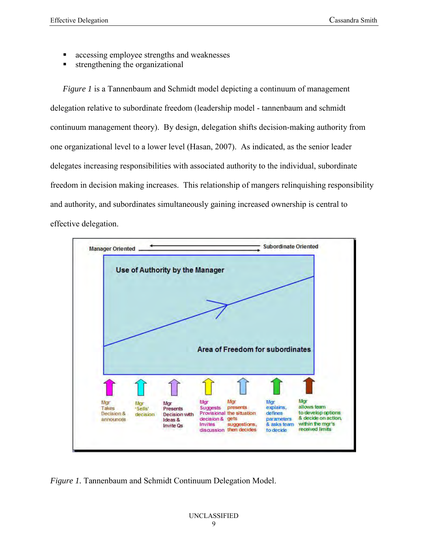- accessing employee strengths and weaknesses
- strengthening the organizational

*Figure 1* is a Tannenbaum and Schmidt model depicting a continuum of management delegation relative to subordinate freedom (leadership model - tannenbaum and schmidt continuum management theory). By design, delegation shifts decision-making authority from one organizational level to a lower level (Hasan, 2007). As indicated, as the senior leader delegates increasing responsibilities with associated authority to the individual, subordinate freedom in decision making increases. This relationship of mangers relinquishing responsibility and authority, and subordinates simultaneously gaining increased ownership is central to effective delegation.



*Figure 1.* Tannenbaum and Schmidt Continuum Delegation Model.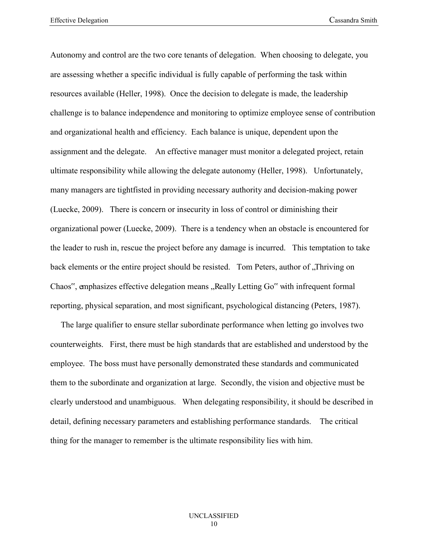Autonomy and control are the two core tenants of delegation. When choosing to delegate, you are assessing whether a specific individual is fully capable of performing the task within resources available (Heller, 1998). Once the decision to delegate is made, the leadership challenge is to balance independence and monitoring to optimize employee sense of contribution and organizational health and efficiency. Each balance is unique, dependent upon the assignment and the delegate. An effective manager must monitor a delegated project, retain ultimate responsibility while allowing the delegate autonomy (Heller, 1998). Unfortunately, many managers are tightfisted in providing necessary authority and decision-making power (Luecke, 2009). There is concern or insecurity in loss of control or diminishing their organizational power (Luecke, 2009). There is a tendency when an obstacle is encountered for the leader to rush in, rescue the project before any damage is incurred. This temptation to take back elements or the entire project should be resisted. Tom Peters, author of Thriving on Chaos", emphasizes effective delegation means "Really Letting Go" with infrequent formal reporting, physical separation, and most significant, psychological distancing (Peters, 1987).

 The large qualifier to ensure stellar subordinate performance when letting go involves two counterweights. First, there must be high standards that are established and understood by the employee. The boss must have personally demonstrated these standards and communicated them to the subordinate and organization at large. Secondly, the vision and objective must be clearly understood and unambiguous. When delegating responsibility, it should be described in detail, defining necessary parameters and establishing performance standards. The critical thing for the manager to remember is the ultimate responsibility lies with him.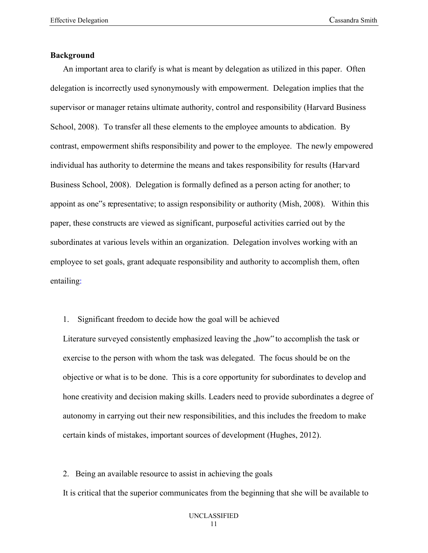#### **Background**

 An important area to clarify is what is meant by delegation as utilized in this paper. Often delegation is incorrectly used synonymously with empowerment. Delegation implies that the supervisor or manager retains ultimate authority, control and responsibility (Harvard Business School, 2008). To transfer all these elements to the employee amounts to abdication. By contrast, empowerment shifts responsibility and power to the employee. The newly empowered individual has authority to determine the means and takes responsibility for results (Harvard Business School, 2008). Delegation is formally defined as a person acting for another; to appoint as one"s representative; to assign responsibility or authority (Mish, 2008). Within this paper, these constructs are viewed as significant, purposeful activities carried out by the subordinates at various levels within an organization. Delegation involves working with an employee to set goals, grant adequate responsibility and authority to accomplish them, often entailing:

1. Significant freedom to decide how the goal will be achieved

Literature surveyed consistently emphasized leaving the , how" to accomplish the task or exercise to the person with whom the task was delegated. The focus should be on the objective or what is to be done. This is a core opportunity for subordinates to develop and hone creativity and decision making skills. Leaders need to provide subordinates a degree of autonomy in carrying out their new responsibilities, and this includes the freedom to make certain kinds of mistakes, important sources of development (Hughes, 2012).

2. Being an available resource to assist in achieving the goals It is critical that the superior communicates from the beginning that she will be available to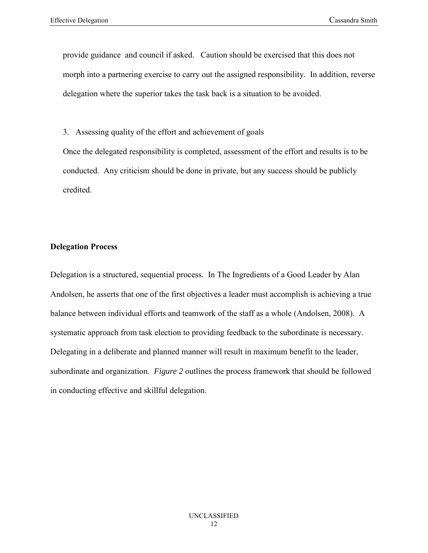provide guidance and council if asked. Caution should be exercised that this does not morph into a partnering exercise to carry out the assigned responsibility. In addition, reverse delegation where the superior takes the task back is a situation to be avoided.

3. Assessing quality of the effort and achievement of goals

Once the delegated responsibility is completed, assessment of the effort and results is to be conducted. Any criticism should be done in private, but any success should be publicly credited.

#### **Delegation Process**

Delegation is a structured, sequential process. In The Ingredients of a Good Leader by Alan Andolsen, he asserts that one of the first objectives a leader must accomplish is achieving a true balance between individual efforts and teamwork of the staff as a whole (Andolsen, 2008). A systematic approach from task election to providing feedback to the subordinate is necessary. Delegating in a deliberate and planned manner will result in maximum benefit to the leader, subordinate and organization. *Figure 2* outlines the process framework that should be followed in conducting effective and skillful delegation.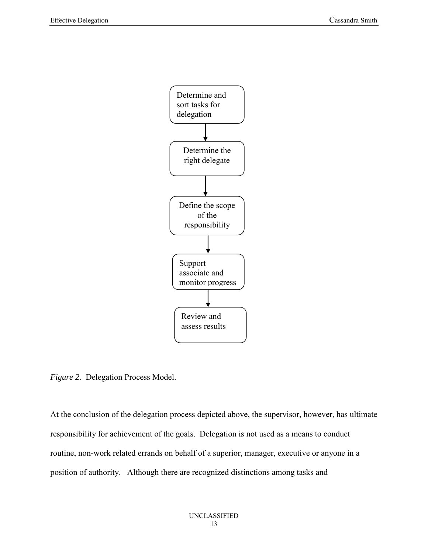

*Figure 2.* Delegation Process Model.

At the conclusion of the delegation process depicted above, the supervisor, however, has ultimate responsibility for achievement of the goals. Delegation is not used as a means to conduct routine, non-work related errands on behalf of a superior, manager, executive or anyone in a position of authority. Although there are recognized distinctions among tasks and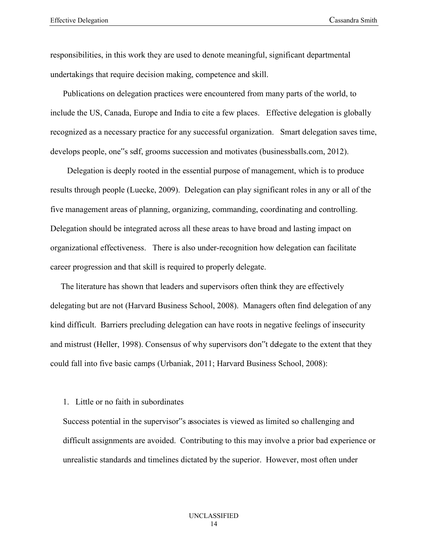responsibilities, in this work they are used to denote meaningful, significant departmental undertakings that require decision making, competence and skill.

 Publications on delegation practices were encountered from many parts of the world, to include the US, Canada, Europe and India to cite a few places. Effective delegation is globally recognized as a necessary practice for any successful organization. Smart delegation saves time, develops people, one"s self, grooms succession and motivates (businessballs.com, 2012).

 Delegation is deeply rooted in the essential purpose of management, which is to produce results through people (Luecke, 2009). Delegation can play significant roles in any or all of the five management areas of planning, organizing, commanding, coordinating and controlling. Delegation should be integrated across all these areas to have broad and lasting impact on organizational effectiveness. There is also under-recognition how delegation can facilitate career progression and that skill is required to properly delegate.

 The literature has shown that leaders and supervisors often think they are effectively delegating but are not (Harvard Business School, 2008). Managers often find delegation of any kind difficult. Barriers precluding delegation can have roots in negative feelings of insecurity and mistrust (Heller, 1998). Consensus of why supervisors don"t delegate to the extent that they could fall into five basic camps (Urbaniak, 2011; Harvard Business School, 2008):

#### 1. Little or no faith in subordinates

Success potential in the supervisor"s associates is viewed as limited so challenging and difficult assignments are avoided. Contributing to this may involve a prior bad experience or unrealistic standards and timelines dictated by the superior. However, most often under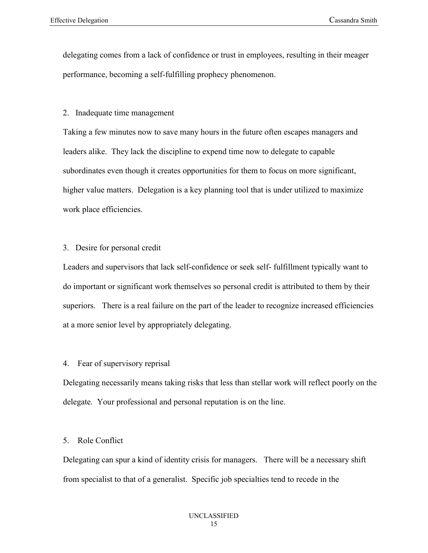delegating comes from a lack of confidence or trust in employees, resulting in their meager performance, becoming a self-fulfilling prophecy phenomenon.

#### 2. Inadequate time management

Taking a few minutes now to save many hours in the future often escapes managers and leaders alike. They lack the discipline to expend time now to delegate to capable subordinates even though it creates opportunities for them to focus on more significant, higher value matters. Delegation is a key planning tool that is under utilized to maximize work place efficiencies.

#### 3. Desire for personal credit

Leaders and supervisors that lack self-confidence or seek self- fulfillment typically want to do important or significant work themselves so personal credit is attributed to them by their superiors. There is a real failure on the part of the leader to recognize increased efficiencies at a more senior level by appropriately delegating.

#### 4. Fear of supervisory reprisal

Delegating necessarily means taking risks that less than stellar work will reflect poorly on the delegate. Your professional and personal reputation is on the line.

#### 5. Role Conflict

Delegating can spur a kind of identity crisis for managers. There will be a necessary shift from specialist to that of a generalist. Specific job specialties tend to recede in the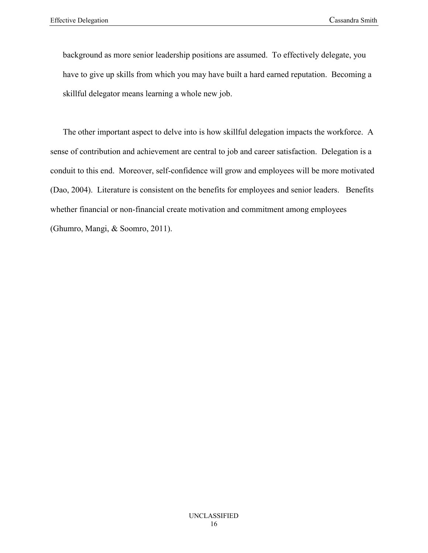background as more senior leadership positions are assumed. To effectively delegate, you have to give up skills from which you may have built a hard earned reputation. Becoming a skillful delegator means learning a whole new job.

 The other important aspect to delve into is how skillful delegation impacts the workforce. A sense of contribution and achievement are central to job and career satisfaction. Delegation is a conduit to this end. Moreover, self-confidence will grow and employees will be more motivated (Dao, 2004). Literature is consistent on the benefits for employees and senior leaders. Benefits whether financial or non-financial create motivation and commitment among employees (Ghumro, Mangi, & Soomro, 2011).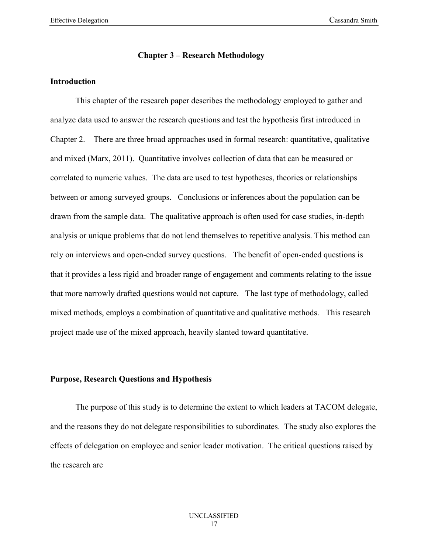### **Chapter 3 – Research Methodology**

#### **Introduction**

This chapter of the research paper describes the methodology employed to gather and analyze data used to answer the research questions and test the hypothesis first introduced in Chapter 2. There are three broad approaches used in formal research: quantitative, qualitative and mixed (Marx, 2011). Quantitative involves collection of data that can be measured or correlated to numeric values. The data are used to test hypotheses, theories or relationships between or among surveyed groups. Conclusions or inferences about the population can be drawn from the sample data. The qualitative approach is often used for case studies, in-depth analysis or unique problems that do not lend themselves to repetitive analysis. This method can rely on interviews and open-ended survey questions. The benefit of open-ended questions is that it provides a less rigid and broader range of engagement and comments relating to the issue that more narrowly drafted questions would not capture. The last type of methodology, called mixed methods, employs a combination of quantitative and qualitative methods. This research project made use of the mixed approach, heavily slanted toward quantitative.

#### **Purpose, Research Questions and Hypothesis**

The purpose of this study is to determine the extent to which leaders at TACOM delegate, and the reasons they do not delegate responsibilities to subordinates. The study also explores the effects of delegation on employee and senior leader motivation. The critical questions raised by the research are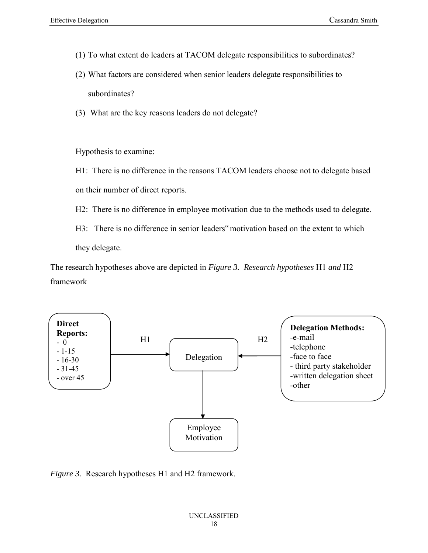- (1) To what extent do leaders at TACOM delegate responsibilities to subordinates?
- (2) What factors are considered when senior leaders delegate responsibilities to subordinates?
- (3) What are the key reasons leaders do not delegate?

Hypothesis to examine:

H1: There is no difference in the reasons TACOM leaders choose not to delegate based on their number of direct reports.

H2: There is no difference in employee motivation due to the methods used to delegate.

H3: There is no difference in senior leaders" motivation based on the extent to which they delegate.

The research hypotheses above are depicted in *Figure 3. Research hypotheses* H1 *and* H2 framework



*Figure 3.* Research hypotheses H1 and H2 framework.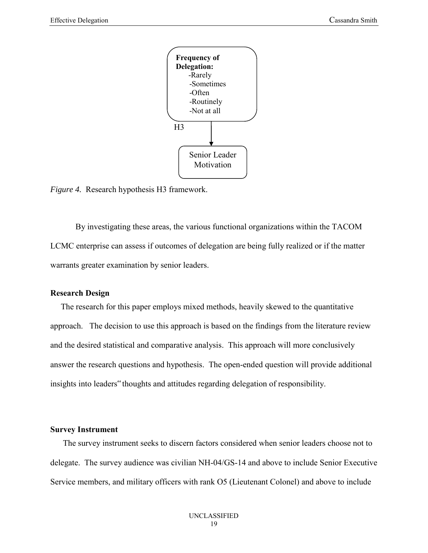

*Figure 4.* Research hypothesis H3 framework.

By investigating these areas, the various functional organizations within the TACOM LCMC enterprise can assess if outcomes of delegation are being fully realized or if the matter warrants greater examination by senior leaders.

#### **Research Design**

The research for this paper employs mixed methods, heavily skewed to the quantitative approach. The decision to use this approach is based on the findings from the literature review and the desired statistical and comparative analysis. This approach will more conclusively answer the research questions and hypothesis. The open-ended question will provide additional insights into leaders" thoughts and attitudes regarding delegation of responsibility.

#### **Survey Instrument**

 The survey instrument seeks to discern factors considered when senior leaders choose not to delegate. The survey audience was civilian NH-04/GS-14 and above to include Senior Executive Service members, and military officers with rank O5 (Lieutenant Colonel) and above to include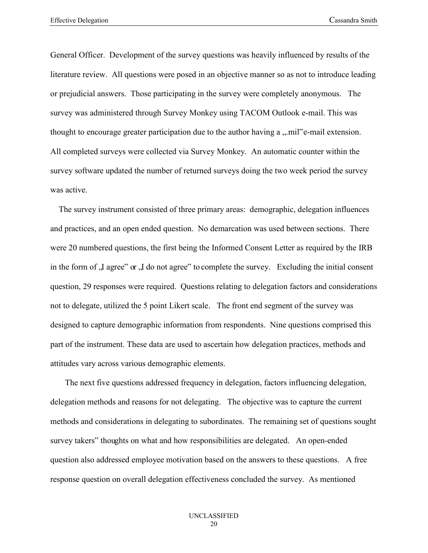General Officer. Development of the survey questions was heavily influenced by results of the literature review. All questions were posed in an objective manner so as not to introduce leading or prejudicial answers. Those participating in the survey were completely anonymous. The survey was administered through Survey Monkey using TACOM Outlook e-mail. This was thought to encourage greater participation due to the author having a  $\ldots$  mil<sup>te</sup>-mail extension. All completed surveys were collected via Survey Monkey. An automatic counter within the survey software updated the number of returned surveys doing the two week period the survey was active.

 The survey instrument consisted of three primary areas: demographic, delegation influences and practices, and an open ended question. No demarcation was used between sections. There were 20 numbered questions, the first being the Informed Consent Letter as required by the IRB in the form of  $\overline{J}$  agree" or  $\overline{J}$  do not agree" to complete the survey. Excluding the initial consent question, 29 responses were required. Questions relating to delegation factors and considerations not to delegate, utilized the 5 point Likert scale. The front end segment of the survey was designed to capture demographic information from respondents. Nine questions comprised this part of the instrument. These data are used to ascertain how delegation practices, methods and attitudes vary across various demographic elements.

 The next five questions addressed frequency in delegation, factors influencing delegation, delegation methods and reasons for not delegating. The objective was to capture the current methods and considerations in delegating to subordinates. The remaining set of questions sought survey takers" thoughts on what and how responsibilities are delegated. An open-ended question also addressed employee motivation based on the answers to these questions. A free response question on overall delegation effectiveness concluded the survey. As mentioned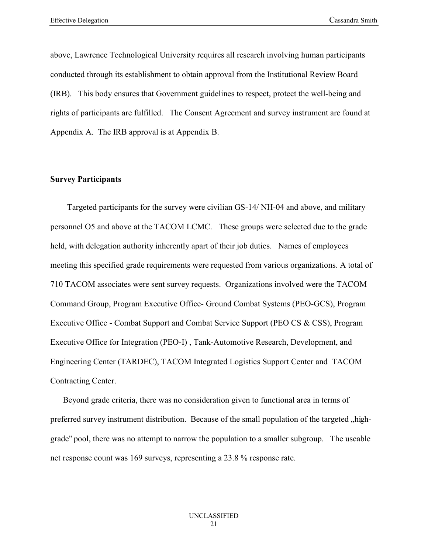above, Lawrence Technological University requires all research involving human participants conducted through its establishment to obtain approval from the Institutional Review Board (IRB). This body ensures that Government guidelines to respect, protect the well-being and rights of participants are fulfilled. The Consent Agreement and survey instrument are found at Appendix A. The IRB approval is at Appendix B.

#### **Survey Participants**

Targeted participants for the survey were civilian GS-14/ NH-04 and above, and military personnel O5 and above at the TACOM LCMC. These groups were selected due to the grade held, with delegation authority inherently apart of their job duties. Names of employees meeting this specified grade requirements were requested from various organizations. A total of 710 TACOM associates were sent survey requests. Organizations involved were the TACOM Command Group, Program Executive Office- Ground Combat Systems (PEO-GCS), Program Executive Office - Combat Support and Combat Service Support (PEO CS & CSS), Program Executive Office for Integration (PEO-I) , Tank-Automotive Research, Development, and Engineering Center (TARDEC), TACOM Integrated Logistics Support Center and TACOM Contracting Center.

 Beyond grade criteria, there was no consideration given to functional area in terms of preferred survey instrument distribution. Because of the small population of the targeted "highgrade" pool, there was no attempt to narrow the population to a smaller subgroup. The useable net response count was 169 surveys, representing a 23.8 % response rate.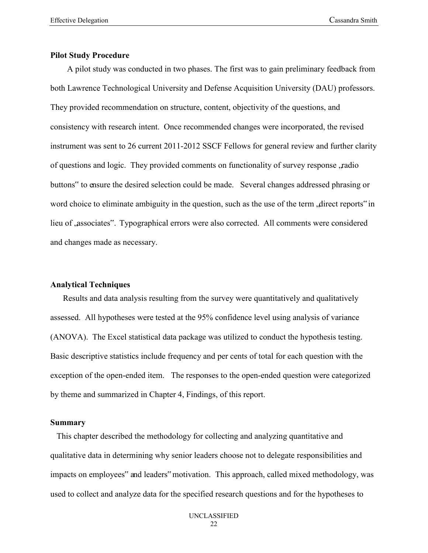#### **Pilot Study Procedure**

A pilot study was conducted in two phases. The first was to gain preliminary feedback from both Lawrence Technological University and Defense Acquisition University (DAU) professors. They provided recommendation on structure, content, objectivity of the questions, and consistency with research intent. Once recommended changes were incorporated, the revised instrument was sent to 26 current 2011-2012 SSCF Fellows for general review and further clarity of questions and logic. They provided comments on functionality of survey response, radio buttons" to ensure the desired selection could be made. Several changes addressed phrasing or word choice to eliminate ambiguity in the question, such as the use of the term direct reports" in lieu of "associates". Typographical errors were also corrected. All comments were considered and changes made as necessary.

#### **Analytical Techniques**

 Results and data analysis resulting from the survey were quantitatively and qualitatively assessed. All hypotheses were tested at the 95% confidence level using analysis of variance (ANOVA). The Excel statistical data package was utilized to conduct the hypothesis testing. Basic descriptive statistics include frequency and per cents of total for each question with the exception of the open-ended item. The responses to the open-ended question were categorized by theme and summarized in Chapter 4, Findings, of this report.

#### **Summary**

 This chapter described the methodology for collecting and analyzing quantitative and qualitative data in determining why senior leaders choose not to delegate responsibilities and impacts on employees" and leaders" motivation. This approach, called mixed methodology, was used to collect and analyze data for the specified research questions and for the hypotheses to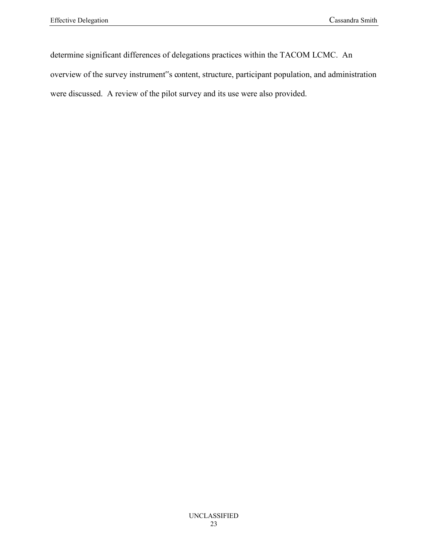determine significant differences of delegations practices within the TACOM LCMC. An overview of the survey instrument"s content, structure, participant population, and administration were discussed. A review of the pilot survey and its use were also provided.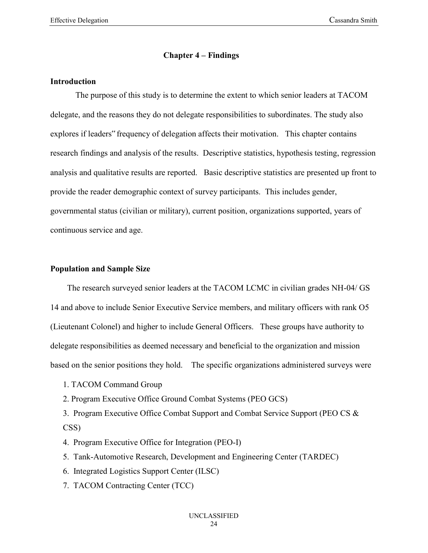#### **Chapter 4 – Findings**

#### **Introduction**

The purpose of this study is to determine the extent to which senior leaders at TACOM delegate, and the reasons they do not delegate responsibilities to subordinates. The study also explores if leaders" frequency of delegation affects their motivation. This chapter contains research findings and analysis of the results. Descriptive statistics, hypothesis testing, regression analysis and qualitative results are reported. Basic descriptive statistics are presented up front to provide the reader demographic context of survey participants. This includes gender, governmental status (civilian or military), current position, organizations supported, years of continuous service and age.

#### **Population and Sample Size**

 The research surveyed senior leaders at the TACOM LCMC in civilian grades NH-04/ GS 14 and above to include Senior Executive Service members, and military officers with rank O5 (Lieutenant Colonel) and higher to include General Officers. These groups have authority to delegate responsibilities as deemed necessary and beneficial to the organization and mission based on the senior positions they hold. The specific organizations administered surveys were

- 1. TACOM Command Group
- 2. Program Executive Office Ground Combat Systems (PEO GCS)

3. Program Executive Office Combat Support and Combat Service Support (PEO CS & CSS)

- 4. Program Executive Office for Integration (PEO-I)
- 5. Tank-Automotive Research, Development and Engineering Center (TARDEC)
- 6. Integrated Logistics Support Center (ILSC)
- 7. TACOM Contracting Center (TCC)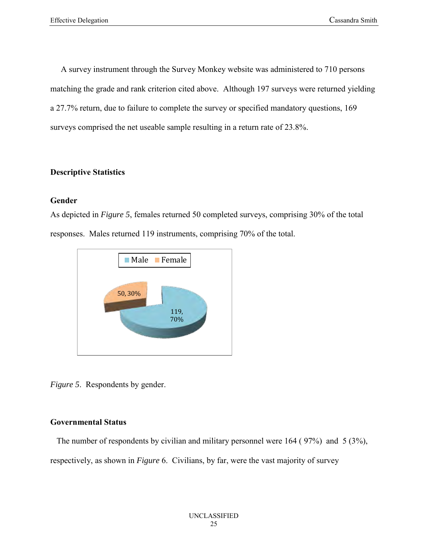A survey instrument through the Survey Monkey website was administered to 710 persons matching the grade and rank criterion cited above. Although 197 surveys were returned yielding a 27.7% return, due to failure to complete the survey or specified mandatory questions, 169 surveys comprised the net useable sample resulting in a return rate of 23.8%.

### **Descriptive Statistics**

## **Gender**

As depicted in *Figure 5*, females returned 50 completed surveys, comprising 30% of the total responses. Males returned 119 instruments, comprising 70% of the total.



*Figure 5*. Respondents by gender.

### **Governmental Status**

 The number of respondents by civilian and military personnel were 164 ( 97%) and 5 (3%), respectively, as shown in *Figure* 6. Civilians, by far, were the vast majority of survey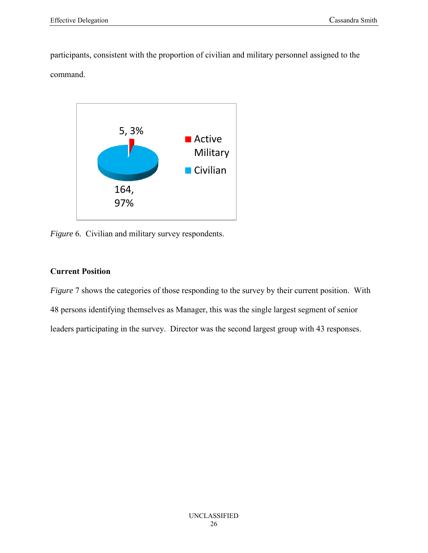participants, consistent with the proportion of civilian and military personnel assigned to the command.



*Figure* 6*.* Civilian and military survey respondents.

### **Current Position**

*Figure* 7 shows the categories of those responding to the survey by their current position. With 48 persons identifying themselves as Manager, this was the single largest segment of senior leaders participating in the survey. Director was the second largest group with 43 responses.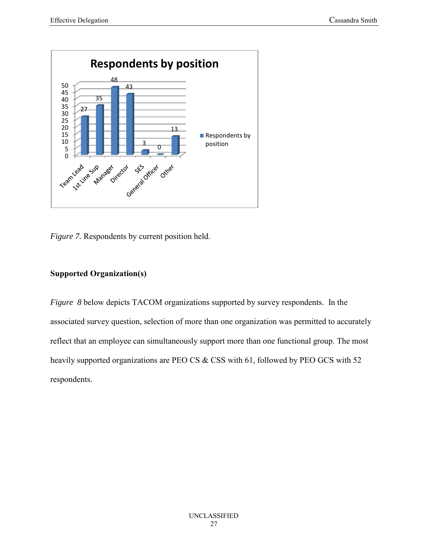

*Figure 7.* Respondents by current position held.

## **Supported Organization(s)**

*Figure 8* below depicts TACOM organizations supported by survey respondents. In the associated survey question, selection of more than one organization was permitted to accurately reflect that an employee can simultaneously support more than one functional group. The most heavily supported organizations are PEO CS & CSS with 61, followed by PEO GCS with 52 respondents.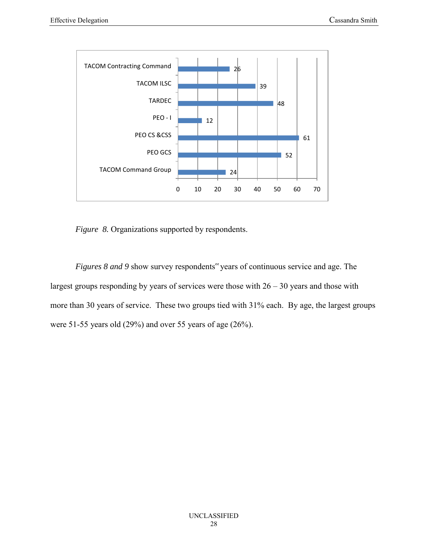

*Figure 8.* Organizations supported by respondents.

*Figures 8 and 9* show survey respondents" years of continuous service and age. The largest groups responding by years of services were those with  $26 - 30$  years and those with more than 30 years of service. These two groups tied with 31% each. By age, the largest groups were 51-55 years old (29%) and over 55 years of age (26%).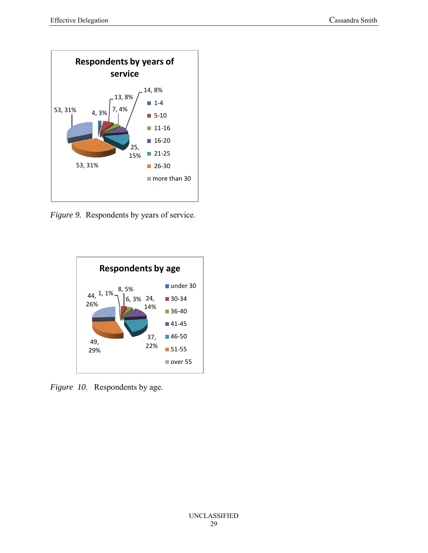

*Figure 9.* Respondents by years of service.



*Figure 10*. Respondents by age.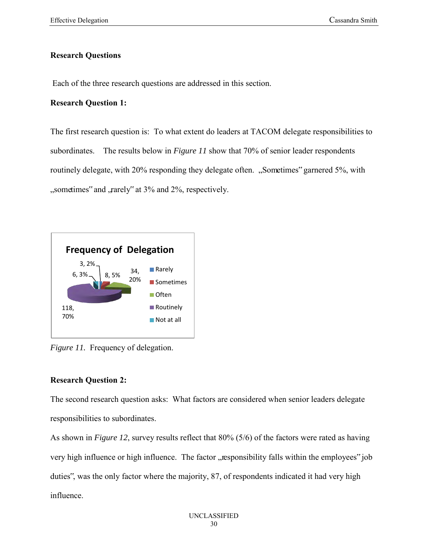### **Research Questions**

Each of the three research questions are addressed in this section.

## **Research Question 1:**

The first research question is: To what extent do leaders at TACOM delegate responsibilities to subordinates. The results below in *Figure 11* show that 70% of senior leader respondents routinely delegate, with 20% responding they delegate often. "Sometimes" garnered 5%, with "sometimes" and , rarely" at 3% and 2%, respectively.



*Figure 11.* Frequency of delegation.

## **Research Question 2:**

The second research question asks: What factors are considered when senior leaders delegate responsibilities to subordinates.

As shown in *Figure 12*, survey results reflect that 80% (5/6) of the factors were rated as having very high influence or high influence. The factor "responsibility falls within the employees" job duties", was the only factor where the majority, 87, of respondents indicated it had very high influence.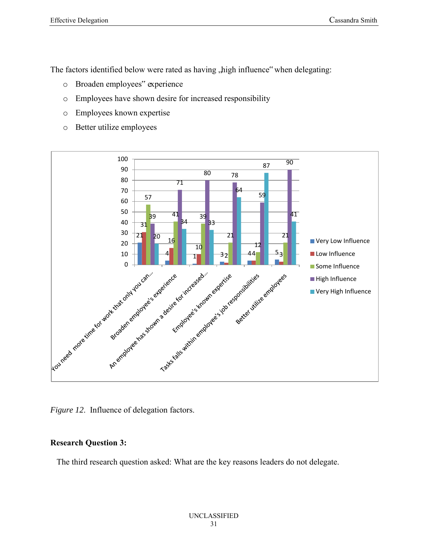The factors identified below were rated as having , high influence" when delegating:

- o Broaden employees" experience
- o Employees have shown desire for increased responsibility
- o Employees known expertise
- o Better utilize employees



*Figure 12*. Influence of delegation factors.

## **Research Question 3:**

The third research question asked: What are the key reasons leaders do not delegate.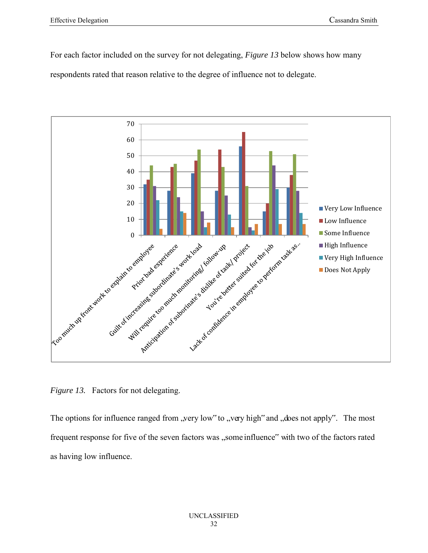For each factor included on the survey for not delegating, *Figure 13* below shows how many respondents rated that reason relative to the degree of influence not to delegate.



*Figure 13.* Factors for not delegating.

The options for influence ranged from "very low" to "very high" and "does not apply". The most frequent response for five of the seven factors was "some influence" with two of the factors rated as having low influence.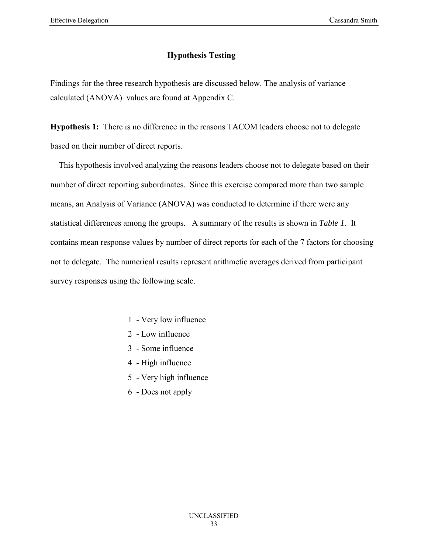## **Hypothesis Testing**

Findings for the three research hypothesis are discussed below. The analysis of variance calculated (ANOVA) values are found at Appendix C.

**Hypothesis 1:** There is no difference in the reasons TACOM leaders choose not to delegate based on their number of direct reports.

 This hypothesis involved analyzing the reasons leaders choose not to delegate based on their number of direct reporting subordinates. Since this exercise compared more than two sample means, an Analysis of Variance (ANOVA) was conducted to determine if there were any statistical differences among the groups. A summary of the results is shown in *Table 1*. It contains mean response values by number of direct reports for each of the 7 factors for choosing not to delegate. The numerical results represent arithmetic averages derived from participant survey responses using the following scale.

- 1 Very low influence
- 2 Low influence
- 3 Some influence
- 4 High influence
- 5 Very high influence
- 6 Does not apply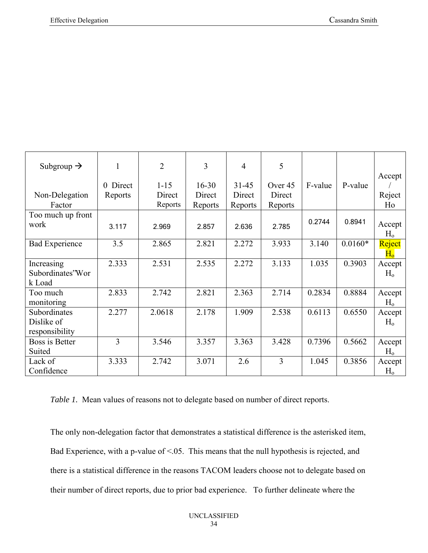| Subgroup $\rightarrow$ | 1        | $\overline{2}$ | 3         | 4         | 5       |         |           | Accept         |
|------------------------|----------|----------------|-----------|-----------|---------|---------|-----------|----------------|
|                        | 0 Direct | $1 - 15$       | $16 - 30$ | $31 - 45$ | Over 45 | F-value | P-value   |                |
| Non-Delegation         | Reports  | Direct         | Direct    | Direct    | Direct  |         |           | Reject         |
| Factor                 |          | Reports        | Reports   | Reports   | Reports |         |           | Ho             |
| Too much up front      |          |                |           |           |         |         |           |                |
| work                   | 3.117    | 2.969          | 2.857     | 2.636     | 2.785   | 0.2744  | 0.8941    | Accept         |
|                        |          |                |           |           |         |         |           | H <sub>o</sub> |
| <b>Bad Experience</b>  | 3.5      | 2.865          | 2.821     | 2.272     | 3.933   | 3.140   | $0.0160*$ | Reject         |
|                        |          |                |           |           |         |         |           | $\rm{H_o}$     |
| Increasing             | 2.333    | 2.531          | 2.535     | 2.272     | 3.133   | 1.035   | 0.3903    | Accept         |
| Subordinates'Wor       |          |                |           |           |         |         |           | $H_0$          |
| k Load                 |          |                |           |           |         |         |           |                |
| Too much               | 2.833    | 2.742          | 2.821     | 2.363     | 2.714   | 0.2834  | 0.8884    | Accept         |
| monitoring             |          |                |           |           |         |         |           | $H_0$          |
| Subordinates           | 2.277    | 2.0618         | 2.178     | 1.909     | 2.538   | 0.6113  | 0.6550    | Accept         |
| Dislike of             |          |                |           |           |         |         |           | $H_0$          |
| responsibility         |          |                |           |           |         |         |           |                |
| Boss is Better         | 3        | 3.546          | 3.357     | 3.363     | 3.428   | 0.7396  | 0.5662    | Accept         |
| Suited                 |          |                |           |           |         |         |           | H <sub>o</sub> |
| Lack of                | 3.333    | 2.742          | 3.071     | 2.6       | 3       | 1.045   | 0.3856    | Accept         |
| Confidence             |          |                |           |           |         |         |           | $H_{o}$        |

*Table 1.* Mean values of reasons not to delegate based on number of direct reports.

The only non-delegation factor that demonstrates a statistical difference is the asterisked item, Bad Experience, with a p-value of  $\leq$  05. This means that the null hypothesis is rejected, and there is a statistical difference in the reasons TACOM leaders choose not to delegate based on their number of direct reports, due to prior bad experience. To further delineate where the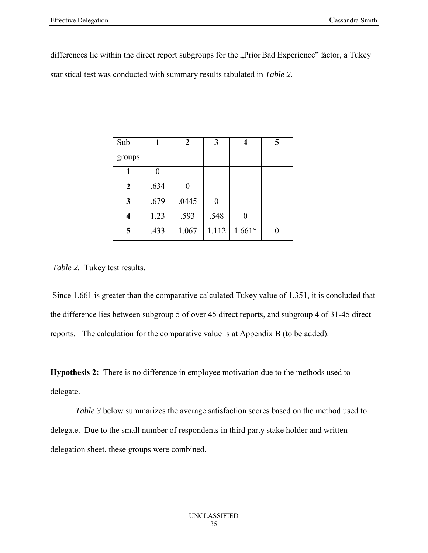differences lie within the direct report subgroups for the "Prior Bad Experience" factor, a Tukey statistical test was conducted with summary results tabulated in *Table 2*.

| Sub-             |      | 2     | 3     |          | 5 |
|------------------|------|-------|-------|----------|---|
| groups           |      |       |       |          |   |
|                  | 0    |       |       |          |   |
| $\boldsymbol{2}$ | .634 |       |       |          |   |
| $\mathbf{3}$     | .679 | .0445 | 0     |          |   |
| 4                | 1.23 | .593  | .548  | 0        |   |
| 5                | .433 | 1.067 | 1.112 | $1.661*$ |   |

*Table 2.* Tukey test results.

Since 1.661 is greater than the comparative calculated Tukey value of 1.351, it is concluded that the difference lies between subgroup 5 of over 45 direct reports, and subgroup 4 of 31-45 direct reports. The calculation for the comparative value is at Appendix B (to be added).

**Hypothesis 2:** There is no difference in employee motivation due to the methods used to delegate.

*Table 3* below summarizes the average satisfaction scores based on the method used to delegate. Due to the small number of respondents in third party stake holder and written delegation sheet, these groups were combined.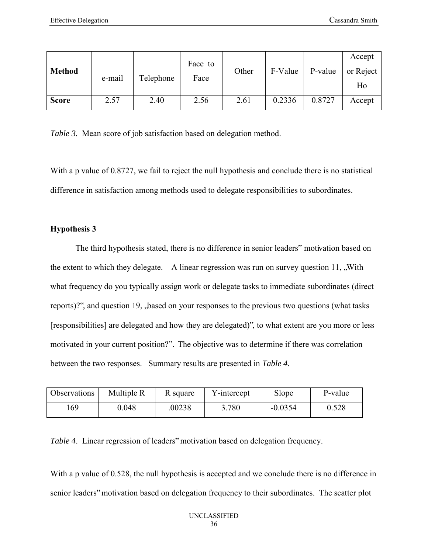| <b>Method</b> | e-mail | Telephone | Face to<br>Face | Other | F-Value | P-value | Accept<br>or Reject<br>Ho |
|---------------|--------|-----------|-----------------|-------|---------|---------|---------------------------|
| <b>Score</b>  | 2.57   | 2.40      | 2.56            | 2.61  | 0.2336  | 0.8727  | Accept                    |

*Table 3.* Mean score of job satisfaction based on delegation method.

With a p value of 0.8727, we fail to reject the null hypothesis and conclude there is no statistical difference in satisfaction among methods used to delegate responsibilities to subordinates.

#### **Hypothesis 3**

The third hypothesis stated, there is no difference in senior leaders" motivation based on the extent to which they delegate. A linear regression was run on survey question  $11$ , "With", what frequency do you typically assign work or delegate tasks to immediate subordinates (direct reports)?", and question 19, "based on your responses to the previous two questions (what tasks [responsibilities] are delegated and how they are delegated)", to what extent are you more or less motivated in your current position?". The objective was to determine if there was correlation between the two responses. Summary results are presented in *Table 4*.

| Observations | Multiple R | R square | Y-intercept | Slope     | P-value |
|--------------|------------|----------|-------------|-----------|---------|
| 169          | 0.048      | 00238    | 3.780       | $-0.0354$ | 0.528   |

*Table 4*. Linear regression of leaders" motivation based on delegation frequency.

With a p value of 0.528, the null hypothesis is accepted and we conclude there is no difference in senior leaders" motivation based on delegation frequency to their subordinates. The scatter plot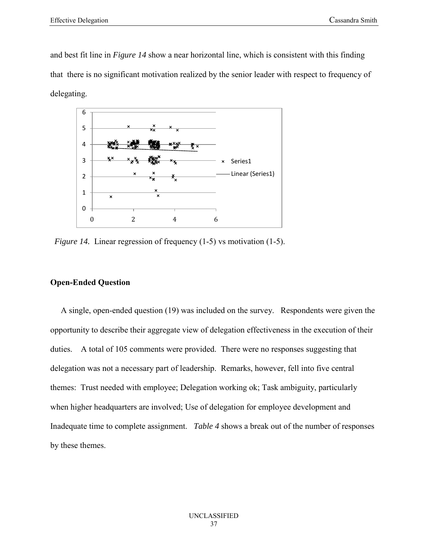and best fit line in *Figure 14* show a near horizontal line, which is consistent with this finding that there is no significant motivation realized by the senior leader with respect to frequency of delegating.



*Figure 14.* Linear regression of frequency (1-5) vs motivation (1-5).

#### **Open-Ended Question**

 A single, open-ended question (19) was included on the survey. Respondents were given the opportunity to describe their aggregate view of delegation effectiveness in the execution of their duties. A total of 105 comments were provided. There were no responses suggesting that delegation was not a necessary part of leadership. Remarks, however, fell into five central themes: Trust needed with employee; Delegation working ok; Task ambiguity, particularly when higher headquarters are involved; Use of delegation for employee development and Inadequate time to complete assignment. *Table 4* shows a break out of the number of responses by these themes.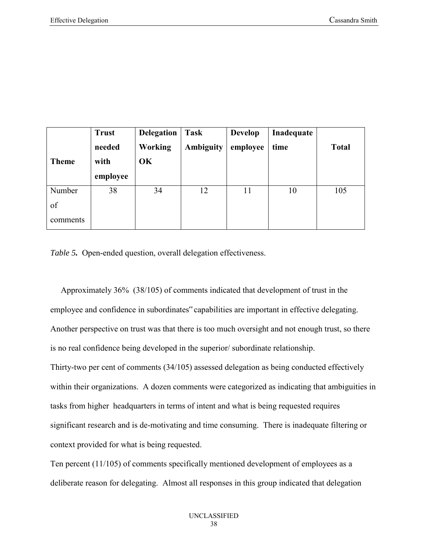|              | <b>Trust</b> | <b>Delegation</b> | <b>Task</b> | <b>Develop</b> | Inadequate |              |
|--------------|--------------|-------------------|-------------|----------------|------------|--------------|
|              | needed       | Working           | Ambiguity   | employee       | time       | <b>Total</b> |
| <b>Theme</b> | with         | OK                |             |                |            |              |
|              | employee     |                   |             |                |            |              |
| Number       | 38           | 34                | 12          | 11             | 10         | 105          |
| of           |              |                   |             |                |            |              |
| comments     |              |                   |             |                |            |              |

*Table 5.* Open-ended question, overall delegation effectiveness.

Approximately 36% (38/105) of comments indicated that development of trust in the employee and confidence in subordinates" capabilities are important in effective delegating. Another perspective on trust was that there is too much oversight and not enough trust, so there is no real confidence being developed in the superior/ subordinate relationship. Thirty-two per cent of comments (34/105) assessed delegation as being conducted effectively within their organizations. A dozen comments were categorized as indicating that ambiguities in tasks from higher headquarters in terms of intent and what is being requested requires significant research and is de-motivating and time consuming. There is inadequate filtering or context provided for what is being requested.

Ten percent (11/105) of comments specifically mentioned development of employees as a deliberate reason for delegating. Almost all responses in this group indicated that delegation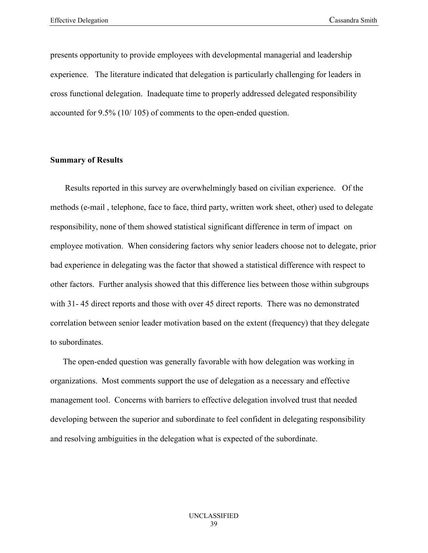presents opportunity to provide employees with developmental managerial and leadership experience. The literature indicated that delegation is particularly challenging for leaders in cross functional delegation. Inadequate time to properly addressed delegated responsibility accounted for 9.5% (10/ 105) of comments to the open-ended question.

#### **Summary of Results**

 Results reported in this survey are overwhelmingly based on civilian experience. Of the methods (e-mail , telephone, face to face, third party, written work sheet, other) used to delegate responsibility, none of them showed statistical significant difference in term of impact on employee motivation. When considering factors why senior leaders choose not to delegate, prior bad experience in delegating was the factor that showed a statistical difference with respect to other factors. Further analysis showed that this difference lies between those within subgroups with 31- 45 direct reports and those with over 45 direct reports. There was no demonstrated correlation between senior leader motivation based on the extent (frequency) that they delegate to subordinates.

 The open-ended question was generally favorable with how delegation was working in organizations. Most comments support the use of delegation as a necessary and effective management tool. Concerns with barriers to effective delegation involved trust that needed developing between the superior and subordinate to feel confident in delegating responsibility and resolving ambiguities in the delegation what is expected of the subordinate.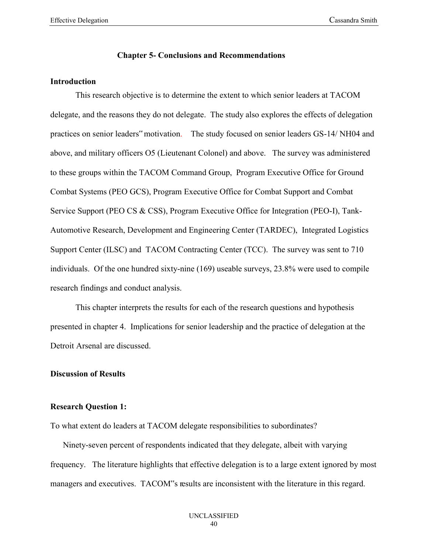#### **Chapter 5- Conclusions and Recommendations**

#### **Introduction**

This research objective is to determine the extent to which senior leaders at TACOM delegate, and the reasons they do not delegate. The study also explores the effects of delegation practices on senior leaders" motivation. The study focused on senior leaders GS-14/ NH04 and above, and military officers O5 (Lieutenant Colonel) and above. The survey was administered to these groups within the TACOM Command Group, Program Executive Office for Ground Combat Systems (PEO GCS), Program Executive Office for Combat Support and Combat Service Support (PEO CS & CSS), Program Executive Office for Integration (PEO-I), Tank-Automotive Research, Development and Engineering Center (TARDEC), Integrated Logistics Support Center (ILSC) and TACOM Contracting Center (TCC). The survey was sent to 710 individuals. Of the one hundred sixty-nine (169) useable surveys, 23.8% were used to compile research findings and conduct analysis.

This chapter interprets the results for each of the research questions and hypothesis presented in chapter 4. Implications for senior leadership and the practice of delegation at the Detroit Arsenal are discussed.

### **Discussion of Results**

#### **Research Question 1:**

To what extent do leaders at TACOM delegate responsibilities to subordinates?

 Ninety-seven percent of respondents indicated that they delegate, albeit with varying frequency. The literature highlights that effective delegation is to a large extent ignored by most managers and executives. TACOM"s results are inconsistent with the literature in this regard.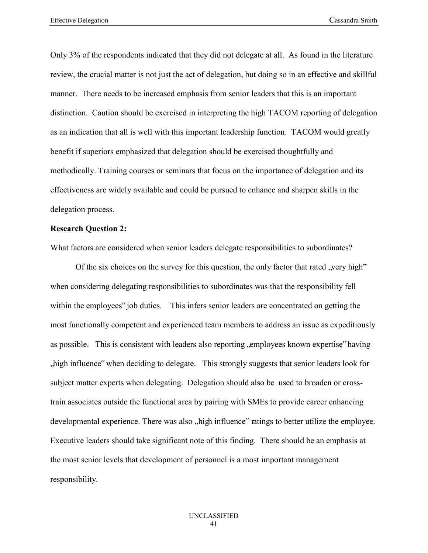Only 3% of the respondents indicated that they did not delegate at all. As found in the literature review, the crucial matter is not just the act of delegation, but doing so in an effective and skillful manner. There needs to be increased emphasis from senior leaders that this is an important distinction. Caution should be exercised in interpreting the high TACOM reporting of delegation as an indication that all is well with this important leadership function. TACOM would greatly benefit if superiors emphasized that delegation should be exercised thoughtfully and methodically. Training courses or seminars that focus on the importance of delegation and its effectiveness are widely available and could be pursued to enhance and sharpen skills in the delegation process.

#### **Research Question 2:**

What factors are considered when senior leaders delegate responsibilities to subordinates?

Of the six choices on the survey for this question, the only factor that rated  $\alpha$ , very high." when considering delegating responsibilities to subordinates was that the responsibility fell within the employees" job duties. This infers senior leaders are concentrated on getting the most functionally competent and experienced team members to address an issue as expeditiously as possible. This is consistent with leaders also reporting , employees known expertise "having high influence" when deciding to delegate. This strongly suggests that senior leaders look for subject matter experts when delegating. Delegation should also be used to broaden or crosstrain associates outside the functional area by pairing with SMEs to provide career enhancing developmental experience. There was also , high influence" ratings to better utilize the employee. Executive leaders should take significant note of this finding. There should be an emphasis at the most senior levels that development of personnel is a most important management responsibility.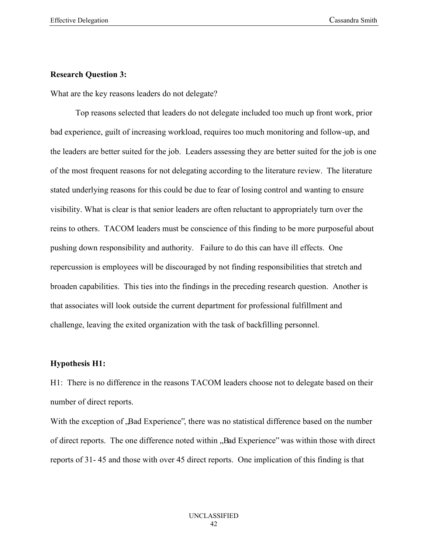#### **Research Question 3:**

What are the key reasons leaders do not delegate?

Top reasons selected that leaders do not delegate included too much up front work, prior bad experience, guilt of increasing workload, requires too much monitoring and follow-up, and the leaders are better suited for the job. Leaders assessing they are better suited for the job is one of the most frequent reasons for not delegating according to the literature review. The literature stated underlying reasons for this could be due to fear of losing control and wanting to ensure visibility. What is clear is that senior leaders are often reluctant to appropriately turn over the reins to others. TACOM leaders must be conscience of this finding to be more purposeful about pushing down responsibility and authority. Failure to do this can have ill effects. One repercussion is employees will be discouraged by not finding responsibilities that stretch and broaden capabilities. This ties into the findings in the preceding research question. Another is that associates will look outside the current department for professional fulfillment and challenge, leaving the exited organization with the task of backfilling personnel.

#### **Hypothesis H1:**

H1: There is no difference in the reasons TACOM leaders choose not to delegate based on their number of direct reports.

With the exception of "Bad Experience", there was no statistical difference based on the number of direct reports. The one difference noted within "Bad Experience" was within those with direct reports of 31- 45 and those with over 45 direct reports. One implication of this finding is that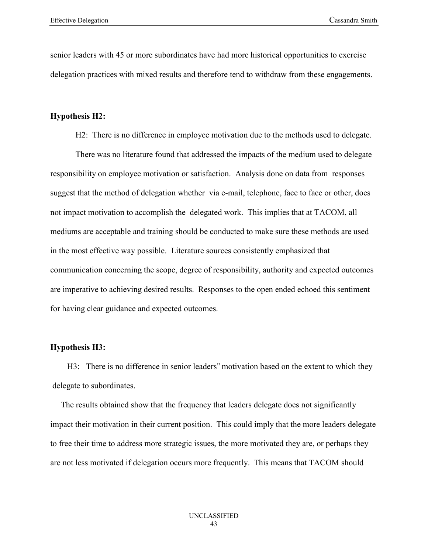senior leaders with 45 or more subordinates have had more historical opportunities to exercise delegation practices with mixed results and therefore tend to withdraw from these engagements.

#### **Hypothesis H2:**

H2: There is no difference in employee motivation due to the methods used to delegate.

There was no literature found that addressed the impacts of the medium used to delegate responsibility on employee motivation or satisfaction. Analysis done on data from responses suggest that the method of delegation whether via e-mail, telephone, face to face or other, does not impact motivation to accomplish the delegated work. This implies that at TACOM, all mediums are acceptable and training should be conducted to make sure these methods are used in the most effective way possible. Literature sources consistently emphasized that communication concerning the scope, degree of responsibility, authority and expected outcomes are imperative to achieving desired results. Responses to the open ended echoed this sentiment for having clear guidance and expected outcomes.

#### **Hypothesis H3:**

 H3: There is no difference in senior leaders" motivation based on the extent to which they delegate to subordinates.

 The results obtained show that the frequency that leaders delegate does not significantly impact their motivation in their current position. This could imply that the more leaders delegate to free their time to address more strategic issues, the more motivated they are, or perhaps they are not less motivated if delegation occurs more frequently. This means that TACOM should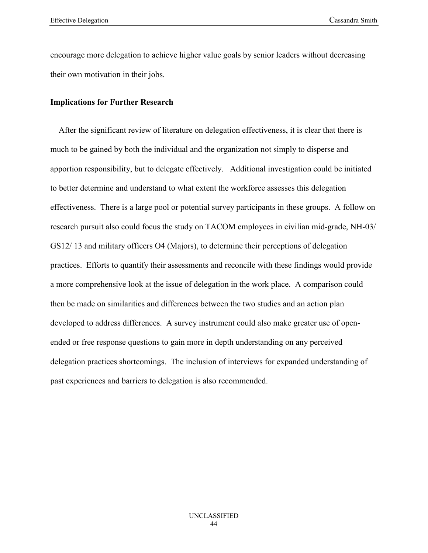encourage more delegation to achieve higher value goals by senior leaders without decreasing their own motivation in their jobs.

#### **Implications for Further Research**

After the significant review of literature on delegation effectiveness, it is clear that there is much to be gained by both the individual and the organization not simply to disperse and apportion responsibility, but to delegate effectively. Additional investigation could be initiated to better determine and understand to what extent the workforce assesses this delegation effectiveness. There is a large pool or potential survey participants in these groups. A follow on research pursuit also could focus the study on TACOM employees in civilian mid-grade, NH-03/ GS12/ 13 and military officers O4 (Majors), to determine their perceptions of delegation practices. Efforts to quantify their assessments and reconcile with these findings would provide a more comprehensive look at the issue of delegation in the work place. A comparison could then be made on similarities and differences between the two studies and an action plan developed to address differences. A survey instrument could also make greater use of openended or free response questions to gain more in depth understanding on any perceived delegation practices shortcomings. The inclusion of interviews for expanded understanding of past experiences and barriers to delegation is also recommended.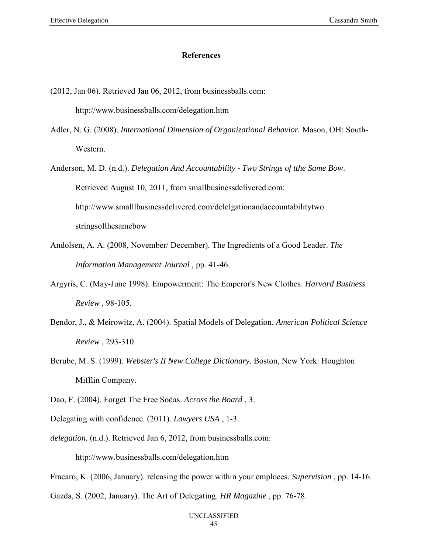#### **References**

(2012, Jan 06). Retrieved Jan 06, 2012, from businessballs.com:

http://www.businessballs.com/delegation.htm

Adler, N. G. (2008). *International Dimension of Organizational Behavior.* Mason, OH: South-Western.

Anderson, M. D. (n.d.). *Delegation And Accountability - Two Strings of tthe Same Bow*. Retrieved August 10, 2011, from smallbusinessdelivered.com: http://www.smalllbusinessdelivered.com/delelgationandaccountabilitytwo stringsofthesamebow

- Andolsen, A. A. (2008, November/ December). The Ingredients of a Good Leader. *The Information Management Journal* , pp. 41-46.
- Argyris, C. (May-June 1998). Empowerment: The Emperor's New Clothes. *Harvard Business Review* , 98-105.
- Bendor, J., & Meirowitz, A. (2004). Spatial Models of Delegation. *American Political Science Review* , 293-310.
- Berube, M. S. (1999). *Webster's II New College Dictionary.* Boston, New York: Houghton Mifflin Company.
- Dao, F. (2004). Forget The Free Sodas. *Across the Board* , 3.

Delegating with confidence. (2011). *Lawyers USA* , 1-3.

*delegation.* (n.d.). Retrieved Jan 6, 2012, from businessballs.com:

http://www.businessballs.com/delegation.htm

- Fracaro, K. (2006, January). releasing the power within your emploees. *Supervision* , pp. 14-16.
- Gazda, S. (2002, January). The Art of Delegating. *HR Magazine* , pp. 76-78.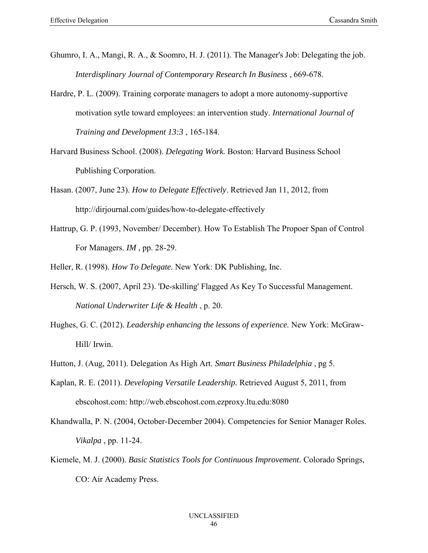- Ghumro, I. A., Mangi, R. A., & Soomro, H. J. (2011). The Manager's Job: Delegating the job. *Interdisplinary Journal of Contemporary Research In Business* , 669-678.
- Hardre, P. L. (2009). Training corporate managers to adopt a more autonomy-supportive motivation sytle toward employees: an intervention study. *International Journal of Training and Development 13:3* , 165-184.
- Harvard Business School. (2008). *Delegating Work.* Boston: Harvard Business School Publishing Corporation.
- Hasan. (2007, June 23). *How to Delegate Effectively*. Retrieved Jan 11, 2012, from http://dirjournal.com/guides/how-to-delegate-effectively
- Hattrup, G. P. (1993, November/ December). How To Establish The Propoer Span of Control For Managers. *IM* , pp. 28-29.
- Heller, R. (1998). *How To Delegate.* New York: DK Publishing, Inc.
- Hersch, W. S. (2007, April 23). 'De-skilling' Flagged As Key To Successful Management. *National Underwriter Life & Health* , p. 20.
- Hughes, G. C. (2012). *Leadership enhancing the lessons of experience.* New York: McGraw-Hill/ Irwin.
- Hutton, J. (Aug, 2011). Delegation As High Art. *Smart Business Philadelphia* , pg 5.
- Kaplan, R. E. (2011). *Developing Versatile Leadership.* Retrieved August 5, 2011, from ebscohost.com: http://web.ebscohost.com.ezproxy.ltu.edu:8080
- Khandwalla, P. N. (2004, October-December 2004). Competencies for Senior Manager Roles. *Vikalpa* , pp. 11-24.
- Kiemele, M. J. (2000). *Basic Statistics Tools for Continuous Improvement.* Colorado Springs, CO: Air Academy Press.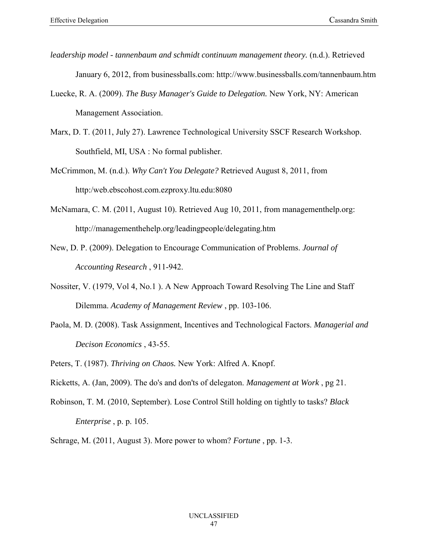- *leadership model tannenbaum and schmidt continuum management theory.* (n.d.). Retrieved January 6, 2012, from businessballs.com: http://www.businessballs.com/tannenbaum.htm
- Luecke, R. A. (2009). *The Busy Manager's Guide to Delegation.* New York, NY: American Management Association.
- Marx, D. T. (2011, July 27). Lawrence Technological University SSCF Research Workshop. Southfield, MI, USA : No formal publisher.
- McCrimmon, M. (n.d.). *Why Can't You Delegate?* Retrieved August 8, 2011, from http:/web.ebscohost.com.ezproxy.ltu.edu:8080
- McNamara, C. M. (2011, August 10). Retrieved Aug 10, 2011, from managementhelp.org: http://managementhehelp.org/leadingpeople/delegating.htm
- New, D. P. (2009). Delegation to Encourage Communication of Problems. *Journal of Accounting Research* , 911-942.
- Nossiter, V. (1979, Vol 4, No.1 ). A New Approach Toward Resolving The Line and Staff Dilemma. *Academy of Management Review* , pp. 103-106.
- Paola, M. D. (2008). Task Assignment, Incentives and Technological Factors. *Managerial and Decison Economics* , 43-55.
- Peters, T. (1987). *Thriving on Chaos.* New York: Alfred A. Knopf.
- Ricketts, A. (Jan, 2009). The do's and don'ts of delegaton. *Management at Work* , pg 21.
- Robinson, T. M. (2010, September). Lose Control Still holding on tightly to tasks? *Black Enterprise* , p. p. 105.

Schrage, M. (2011, August 3). More power to whom? *Fortune* , pp. 1-3.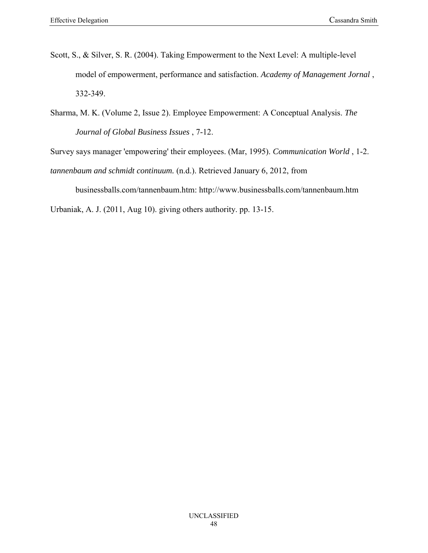- Scott, S., & Silver, S. R. (2004). Taking Empowerment to the Next Level: A multiple-level model of empowerment, performance and satisfaction. *Academy of Management Jornal* , 332-349.
- Sharma, M. K. (Volume 2, Issue 2). Employee Empowerment: A Conceptual Analysis. *The Journal of Global Business Issues* , 7-12.

Survey says manager 'empowering' their employees. (Mar, 1995). *Communication World* , 1-2.

*tannenbaum and schmidt continuum.* (n.d.). Retrieved January 6, 2012, from

businessballs.com/tannenbaum.htm: http://www.businessballs.com/tannenbaum.htm

Urbaniak, A. J. (2011, Aug 10). giving others authority. pp. 13-15.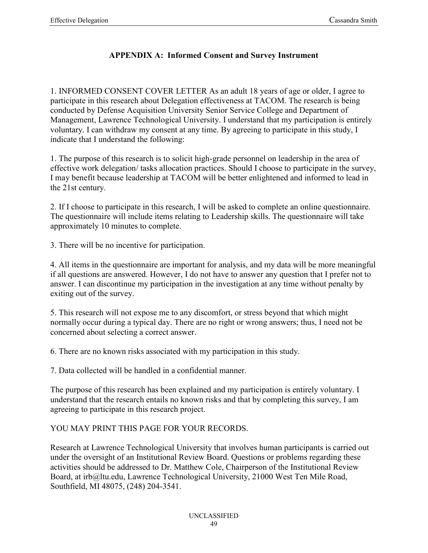## **APPENDIX A: Informed Consent and Survey Instrument**

1. INFORMED CONSENT COVER LETTER As an adult 18 years of age or older, I agree to participate in this research about Delegation effectiveness at TACOM. The research is being conducted by Defense Acquisition University Senior Service College and Department of Management, Lawrence Technological University. I understand that my participation is entirely voluntary. I can withdraw my consent at any time. By agreeing to participate in this study, I indicate that I understand the following:

1. The purpose of this research is to solicit high-grade personnel on leadership in the area of effective work delegation/ tasks allocation practices. Should I choose to participate in the survey, I may benefit because leadership at TACOM will be better enlightened and informed to lead in the 21st century.

2. If I choose to participate in this research, I will be asked to complete an online questionnaire. The questionnaire will include items relating to Leadership skills. The questionnaire will take approximately 10 minutes to complete.

3. There will be no incentive for participation.

4. All items in the questionnaire are important for analysis, and my data will be more meaningful if all questions are answered. However, I do not have to answer any question that I prefer not to answer. I can discontinue my participation in the investigation at any time without penalty by exiting out of the survey.

5. This research will not expose me to any discomfort, or stress beyond that which might normally occur during a typical day. There are no right or wrong answers; thus, I need not be concerned about selecting a correct answer.

6. There are no known risks associated with my participation in this study.

7. Data collected will be handled in a confidential manner.

The purpose of this research has been explained and my participation is entirely voluntary. I understand that the research entails no known risks and that by completing this survey, I am agreeing to participate in this research project.

## YOU MAY PRINT THIS PAGE FOR YOUR RECORDS.

Research at Lawrence Technological University that involves human participants is carried out under the oversight of an Institutional Review Board. Questions or problems regarding these activities should be addressed to Dr. Matthew Cole, Chairperson of the Institutional Review Board, at irb@ltu.edu, Lawrence Technological University, 21000 West Ten Mile Road, Southfield, MI 48075, (248) 204-3541.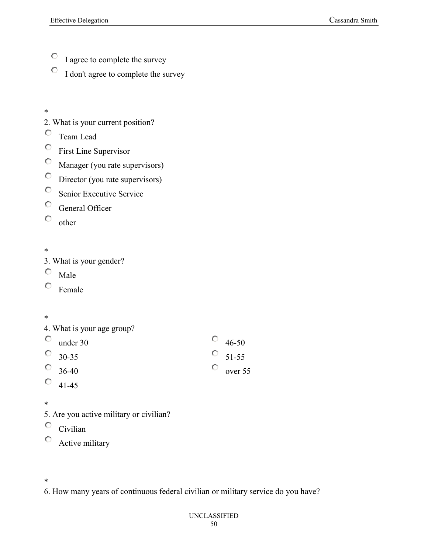- $\mathbb{O}^-$ I agree to complete the survey
- 0 I don't agree to complete the survey
- \*
- 2. What is your current position?
- О. Team Lead
- $\bullet$ First Line Supervisor
- $\bullet$ Manager (you rate supervisors)
- $\circ$ Director (you rate supervisors)
- $\bullet$ Senior Executive Service
- $\bullet$ General Officer
- $\circ$ other
- \*
- 3. What is your gender?
- О. Male
- $\circ$ Female
- \*

|   |  |  | 4. What is your age group? |  |
|---|--|--|----------------------------|--|
| C |  |  |                            |  |

| under 30      |  |  |  |
|---------------|--|--|--|
| $\circ$ 30-35 |  |  |  |
| 0.            |  |  |  |

- 36-40 O 41-45
- 
- \*
- 5. Are you active military or civilian?
- О. Civilian
- $\circ$ Active military
- \*
- 6. How many years of continuous federal civilian or military service do you have?

46-50 51-55

 $\circ$ 

О.  $\circ$ 

over 55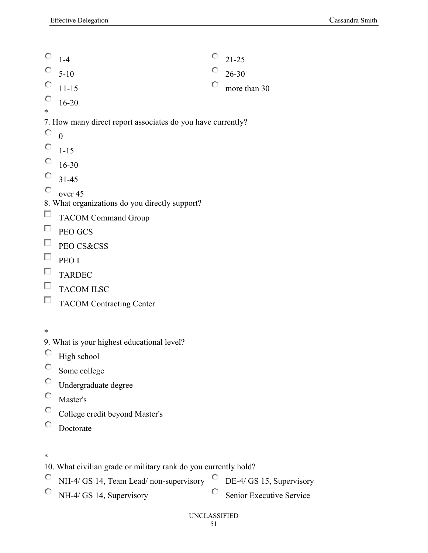- $\circ$  21-25  $\circ$ 1-4  $\circ$  $\circ$ 5-10 26-30  $\bigcirc$ 0 11-15 more than 30  $\circ$ 16-20 \* 7. How many direct report associates do you have currently?
- 0  $\theta$
- $\bigcirc$ 1-15
- $\circ$ 16-30
- О. 31-45
- О. over 45
- 8. What organizations do you directly support?
- TACOM Command Group
- $\Box$  PEO GCS
- $\Box$ PEO CS&CSS
- $\Box$ PEO I
- $\Box$  TARDEC
- $\Box$  TACOM ILSC
- $\Box$  TACOM Contracting Center

- 9. What is your highest educational level?
- $\bullet$ High school
- $\bullet$ Some college
- $\bigcirc$ Undergraduate degree
- $\circ$ Master's
- $\circ$ College credit beyond Master's
- 0 Doctorate

- 10. What civilian grade or military rank do you currently hold?
- NH-4/ GS 14, Team Lead/ non-supervisory DE-4/ GS 15, Supervisory
- $\bigcirc$ NH-4/ GS 14, Supervisory
- $\bigcirc$ Senior Executive Service
- UNCLASSIFIED

<sup>\*</sup>

<sup>\*</sup>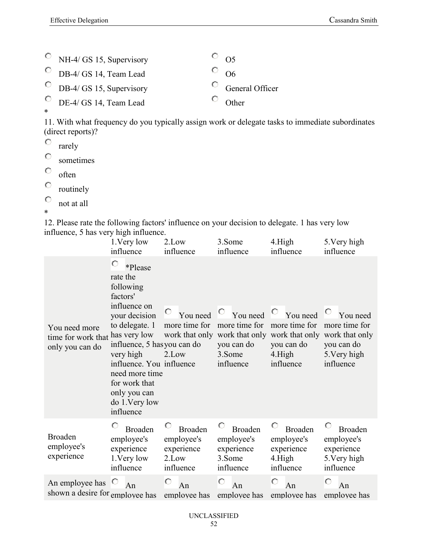|        | $\circ$ NH-4/ GS 15, Supervisory        | $\overline{O}$ 05       |
|--------|-----------------------------------------|-------------------------|
|        | $\circ$ DB-4/ GS 14, Team Lead          | $\overline{\circ}$ 06   |
|        | $\overline{O}$ DB-4/ GS 15, Supervisory | $\circ$ General Officer |
|        | $\circ$ DE-4/ GS 14, Team Lead          | $\overline{O}$ Other    |
| $\ast$ |                                         |                         |

11. With what frequency do you typically assign work or delegate tasks to immediate subordinates (direct reports)?

 $\circ$ rarely

 $\bigcirc$ sometimes

 $\bigcirc$ often

 $\bullet$ routinely

 $\bullet$ not at all

\*

12. Please rate the following factors' influence on your decision to delegate. 1 has very low influence, 5 has very high influence.  $\overline{3}$ .  $\overline{3}$  $4.11$  $5.37 \pm 1.1$ 

|                                                        | 1. Very low<br>influence                                                                                                                                                                                                                                                       | 2.Low<br>influence                                               | 3.Some<br>influence                                                                    | 4.High<br>influence                                                                                                              | 5. Very high<br>influence                                                    |
|--------------------------------------------------------|--------------------------------------------------------------------------------------------------------------------------------------------------------------------------------------------------------------------------------------------------------------------------------|------------------------------------------------------------------|----------------------------------------------------------------------------------------|----------------------------------------------------------------------------------------------------------------------------------|------------------------------------------------------------------------------|
| You need more<br>time for work that<br>only you can do | О<br>*Please<br>rate the<br>following<br>factors'<br>influence on<br>your decision<br>to delegate. 1<br>has very low<br>influence, 5 has you can do<br>very high<br>influence. You influence<br>need more time<br>for work that<br>only you can<br>do 1. Very low<br>influence | You need<br>more time for<br>2.Low                               | $\mathbf{C}_{\perp}$<br>You need<br>more time for<br>you can do<br>3.Some<br>influence | You need<br>more time for<br>work that only work that only work that only work that only<br>you can do<br>$4.$ High<br>influence | You need<br>more time for<br>you can do<br>5. Very high<br>influence         |
| <b>Broaden</b><br>employee's<br>experience             | <b>Broaden</b><br>employee's<br>experience<br>1. Very low<br>influence                                                                                                                                                                                                         | <b>Broaden</b><br>employee's<br>experience<br>2.Low<br>influence | O<br><b>Broaden</b><br>employee's<br>experience<br>3.Some<br>influence                 | O<br><b>Broaden</b><br>employee's<br>experience<br>4.High<br>influence                                                           | O<br><b>Broaden</b><br>employee's<br>experience<br>5. Very high<br>influence |
| An employee has<br>shown a desire for employee has     | An                                                                                                                                                                                                                                                                             | O<br>An<br>employee has                                          | O<br>An<br>employee has                                                                | O<br>An<br>employee has                                                                                                          | О<br>An<br>employee has                                                      |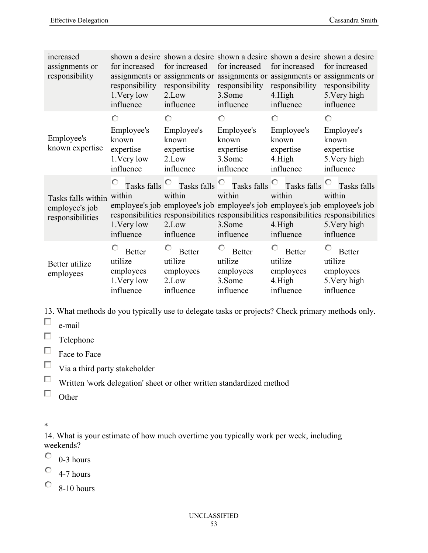| increased<br>assignments or<br>responsibility            | for increased<br>responsibility<br>1. Very low<br>influence       | for increased<br>responsibility<br>2.Low<br>influence            | for increased<br>responsibility<br>3.Some<br>influence                                 | shown a desire shown a desire shown a desire shown a desire shown a desire<br>for increased<br>assignments or assignments or assignments or assignments or assignments or<br>responsibility<br>$4.$ High<br>influence | for increased<br>responsibility<br>5. Very high<br>influence       |
|----------------------------------------------------------|-------------------------------------------------------------------|------------------------------------------------------------------|----------------------------------------------------------------------------------------|-----------------------------------------------------------------------------------------------------------------------------------------------------------------------------------------------------------------------|--------------------------------------------------------------------|
| Employee's<br>known expertise                            | О<br>Employee's<br>known<br>expertise<br>1. Very low<br>influence | О<br>Employee's<br>known<br>expertise<br>2.Low<br>influence      | $\circ$<br>Employee's<br>known<br>expertise<br>3.Some<br>influence                     | О<br>Employee's<br>known<br>expertise<br>$4.$ High<br>influence                                                                                                                                                       | О<br>Employee's<br>known<br>expertise<br>5. Very high<br>influence |
| Tasks falls within<br>employee's job<br>responsibilities | Tasks falls <sup>O</sup><br>within<br>1. Very low<br>influence    | within<br>2.Low<br>influence                                     | Tasks falls $\overline{C}$ Tasks falls $\overline{C}$<br>within<br>3.Some<br>influence | Tasks falls<br>within<br>employee's job employee's job employee's job employee's job employee's job<br>responsibilities responsibilities responsibilities responsibilities responsibilities<br>$4.$ High<br>influence | Tasks falls<br>within<br>5. Very high<br>influence                 |
| Better utilize<br>employees                              | <b>Better</b><br>utilize<br>employees<br>1. Very low<br>influence | О<br><b>Better</b><br>utilize<br>employees<br>2.Low<br>influence | О<br><b>Better</b><br>utilize<br>employees<br>3.Some<br>influence                      | О<br><b>Better</b><br>utilize<br>employees<br>4.High<br>influence                                                                                                                                                     | <b>Better</b><br>utilize<br>employees<br>5. Very high<br>influence |

13. What methods do you typically use to delegate tasks or projects? Check primary methods only.

 $\Box$ e-mail

 $\Box$  Telephone

 $\Box$  Face to Face

 $\hfill\Box$  Via a third party stakeholder

 $\Box$ Written 'work delegation' sheet or other written standardized method

 $\Box$  Other

\*

14. What is your estimate of how much overtime you typically work per week, including weekends?

О. 0-3 hours

 $\bigcirc$ 4-7 hours

 $\degree$  8-10 hours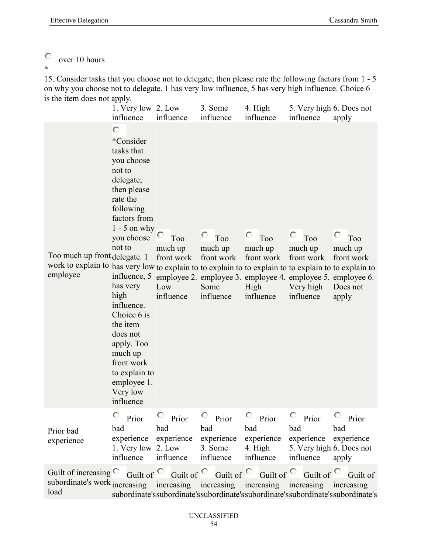#### $\circ$ over 10 hours

\*

15. Consider tasks that you choose not to delegate; then please rate the following factors from 1 - 5 on why you choose not to delegate. 1 has very low influence, 5 has very high influence. Choice 6 is the item does not apply.

|                                                                                                                                                                                                                           | 1. Very low 2. Low<br>influence                                                                                                                                                                                                                                                                                                              | influence                                        | 3. Some<br>influence                                   | 4. High<br>influence                                   | 5. Very high 6. Does not<br>influence                                                                                                               | apply                                                                          |
|---------------------------------------------------------------------------------------------------------------------------------------------------------------------------------------------------------------------------|----------------------------------------------------------------------------------------------------------------------------------------------------------------------------------------------------------------------------------------------------------------------------------------------------------------------------------------------|--------------------------------------------------|--------------------------------------------------------|--------------------------------------------------------|-----------------------------------------------------------------------------------------------------------------------------------------------------|--------------------------------------------------------------------------------|
| Too much up front delegate. 1<br>work to explain to has very low to explain to to explain to to explain to to explain to to explain to<br>employee                                                                        | О<br>*Consider<br>tasks that<br>you choose<br>not to<br>delegate;<br>then please<br>rate the<br>following<br>factors from<br>$1 - 5$ on why<br>you choose<br>not to<br>has very<br>high<br>influence.<br>Choice 6 is<br>the item<br>does not<br>apply. Too<br>much up<br>front work<br>to explain to<br>employee 1.<br>Very low<br>influence | Too<br>much up<br>front work<br>Low<br>influence | O<br>Too<br>much up<br>front work<br>Some<br>influence | O<br>Too<br>much up<br>front work<br>High<br>influence | O<br>T <sub>oo</sub><br>much up<br>front work<br>influence, 5 employee 2. employee 3. employee 4. employee 5. employee 6.<br>Very high<br>influence | О<br>Too<br>much up<br>front work<br>Does not<br>apply                         |
| Prior bad<br>experience                                                                                                                                                                                                   | $\circ$ Prior<br>bad<br>1. Very low 2. Low<br>influence                                                                                                                                                                                                                                                                                      | $\circ$ Prior<br>bad<br>influence influence      | $\circ$ Prior<br>bad<br>3. Some                        | $\circ$ Prior<br>bad<br>4. High                        | $\circ$ Prior<br>bad<br>experience experience experience experience experience experience<br>5. Very high 6. Does not<br>influence influence apply  | $\circ$ Prior<br>bad                                                           |
| Guilt of increasing $\circ$ Guilt of $\circ$ Guilt of $\circ$ Guilt of $\circ$ Guilt of $\circ$ Guilt of $\circ$ Guilt of<br>subordinate's work increasing increasing increasing increasing increasing increasing<br>load |                                                                                                                                                                                                                                                                                                                                              |                                                  |                                                        |                                                        |                                                                                                                                                     | subordinate'ssubordinate'ssubordinate'ssubordinate'ssubordinate'ssubordinate's |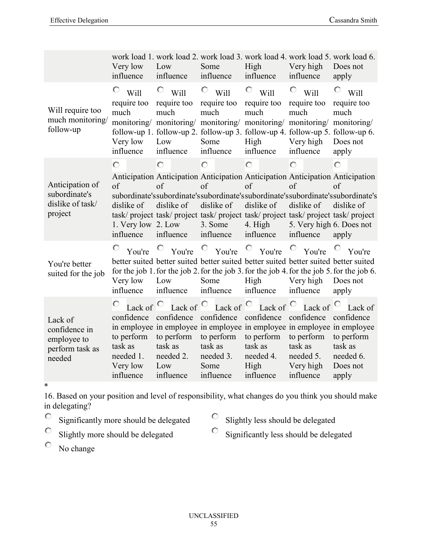|                                                                      | Very low<br>influence                                                                | Low<br>influence                                                                        | Some<br>influence                                                     | High<br>influence                                                                                        | Very high<br>influence                                                                                                                                           | work load 1. work load 2. work load 3. work load 4. work load 5. work load 6.<br>Does not<br>apply                                                                                                           |
|----------------------------------------------------------------------|--------------------------------------------------------------------------------------|-----------------------------------------------------------------------------------------|-----------------------------------------------------------------------|----------------------------------------------------------------------------------------------------------|------------------------------------------------------------------------------------------------------------------------------------------------------------------|--------------------------------------------------------------------------------------------------------------------------------------------------------------------------------------------------------------|
| Will require too<br>much monitoring/<br>follow-up                    | O<br>Will<br>require too<br>much<br>monitoring/<br>Very low<br>influence             | O<br>Will<br>require too<br>much<br>monitoring/<br>Low<br>influence                     | O<br>Will<br>require too<br>much<br>monitoring/<br>Some<br>influence  | O<br>Will<br>require too<br>much<br>monitoring/<br>High<br>influence                                     | O<br>Will<br>require too<br>much<br>monitoring/<br>follow-up 1. follow-up 2. follow-up 3. follow-up 4. follow-up 5. follow-up 6.<br>Very high<br>influence       | O<br>Will<br>require too<br>much<br>monitoring/<br>Does not<br>apply                                                                                                                                         |
| Anticipation of<br>subordinate's<br>dislike of task/<br>project      | $\circ$<br>of<br>dislike of<br>1. Very low 2. Low<br>influence                       | $\circ$<br>of<br>dislike of<br>influence                                                | $\circ$<br>of<br>dislike of<br>3. Some<br>influence                   | $\circ$<br>of<br>dislike of<br>4. High<br>influence                                                      | Ō<br>of<br>dislike of<br>task/project task/project task/project task/project task/project task/project<br>5. Very high 6. Does not<br>influence                  | $\circ$<br>Anticipation Anticipation Anticipation Anticipation Anticipation Anticipation<br>of<br>subordinate's subordinate's subordinate's subordinate's subordinate's subordinate's<br>dislike of<br>apply |
| You're better<br>suited for the job                                  | O<br>You're<br>Very low<br>influence                                                 | $\circ$ You're<br>Low<br>influence                                                      | $\circ$ You're<br>Some<br>influence                                   | $\circ$ You're<br>High<br>influence                                                                      | $\circ$<br>You're<br>better suited better suited better suited better suited better suited better suited<br>Very high<br>influence                               | You're<br>for the job 1. for the job 2. for the job 3. for the job 4. for the job 5. for the job 6.<br>Does not<br>apply                                                                                     |
| Lack of<br>confidence in<br>employee to<br>perform task as<br>needed | Lack of<br>confidence<br>to perform<br>task as<br>needed 1.<br>Very low<br>influence | Lack of $\circ$<br>confidence<br>to perform<br>task as<br>needed 2.<br>Low<br>influence | confidence<br>to perform<br>task as<br>needed 3.<br>Some<br>influence | Lack of $\circ$ Lack of $\circ$<br>confidence<br>to perform<br>task as<br>needed 4.<br>High<br>influence | Lack of<br>confidence<br>in employee in employee in employee in employee in employee in employee<br>to perform<br>task as<br>needed 5.<br>Very high<br>influence | Lack of<br>confidence<br>to perform<br>task as<br>needed 6.<br>Does not<br>apply                                                                                                                             |

\*

16. Based on your position and level of responsibility, what changes do you think you should make in delegating?

- $\bullet$ Significantly more should be delegated
- $\mathbf{C}^-$ Slightly less should be delegated
- $\bigcirc$ Slightly more should be delegated
- $\circ$ Significantly less should be delegated

 $\bigcirc$ No change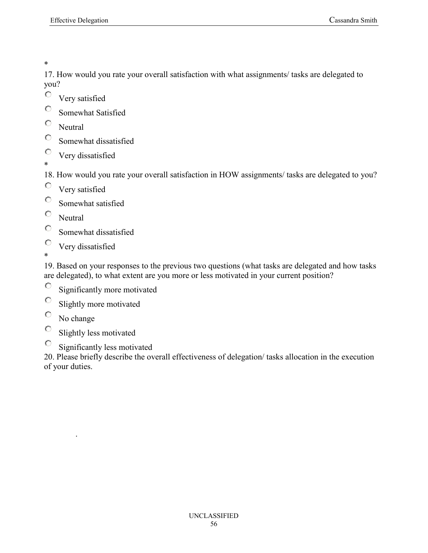\*

17. How would you rate your overall satisfaction with what assignments/ tasks are delegated to you?

- Very satisfied
- $\circ$ Somewhat Satisfied
- $\circ$ **Neutral**
- 0 Somewhat dissatisfied
- 0 Very dissatisfied \*

18. How would you rate your overall satisfaction in HOW assignments/ tasks are delegated to you?

- $\circ$ Very satisfied
- $\bigcirc$ Somewhat satisfied
- $\circ$ **Neutral**
- $\circ$ Somewhat dissatisfied
- $\circ$ Very dissatisfied
- \*

19. Based on your responses to the previous two questions (what tasks are delegated and how tasks are delegated), to what extent are you more or less motivated in your current position?

- 0 Significantly more motivated
- 0 Slightly more motivated
- 0 No change

.

- 0 Slightly less motivated
- $\bigcirc$ Significantly less motivated

20. Please briefly describe the overall effectiveness of delegation/ tasks allocation in the execution of your duties.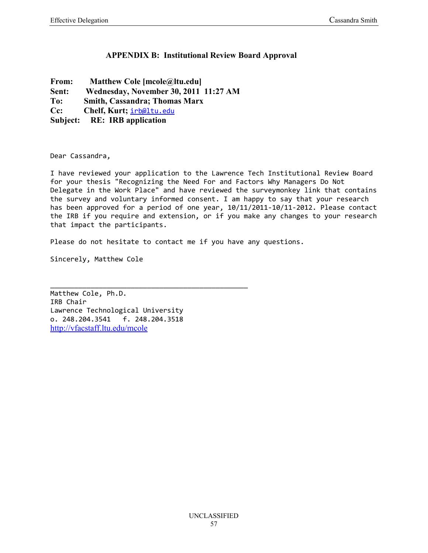## **APPENDIX B: Institutional Review Board Approval**

- **From: Matthew Cole [mcole@ltu.edu]**
- **Sent: Wednesday, November 30, 2011 11:27 AM**
- **To: Smith, Cassandra; Thomas Marx**
- **Cc: Chelf, Kurt;** irb@ltu.edu
- **Subject: RE: IRB application**

Dear Cassandra,

I have reviewed your application to the Lawrence Tech Institutional Review Board for your thesis "Recognizing the Need For and Factors Why Managers Do Not Delegate in the Work Place" and have reviewed the surveymonkey link that contains the survey and voluntary informed consent. I am happy to say that your research has been approved for a period of one year, 10/11/2011-10/11-2012. Please contact the IRB if you require and extension, or if you make any changes to your research that impact the participants.

Please do not hesitate to contact me if you have any questions.

Sincerely, Matthew Cole

Matthew Cole, Ph.D. IRB Chair Lawrence Technological University o. 248.204.3541 f. 248.204.3518 http://vfacstaff.ltu.edu/mcole

\_\_\_\_\_\_\_\_\_\_\_\_\_\_\_\_\_\_\_\_\_\_\_\_\_\_\_\_\_\_\_\_\_\_\_\_\_\_\_\_\_\_\_\_\_\_\_\_\_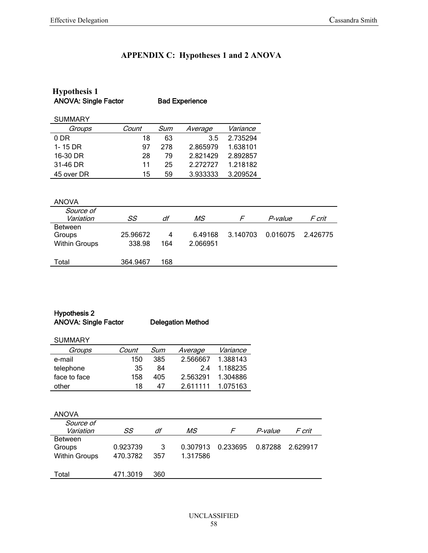# **APPENDIX C: Hypotheses 1 and 2 ANOVA**

| <b>Hypothesis 1</b>         |          |     |                       |          |          |          |
|-----------------------------|----------|-----|-----------------------|----------|----------|----------|
| <b>ANOVA: Single Factor</b> |          |     | <b>Bad Experience</b> |          |          |          |
|                             |          |     |                       |          |          |          |
| <b>SUMMARY</b>              |          |     |                       |          |          |          |
| Groups                      | Count    | Sum | Average               | Variance |          |          |
| 0 DR                        | 18       | 63  | 3.5                   | 2.735294 |          |          |
| 1-15 DR                     | 97       | 278 | 2.865979              | 1.638101 |          |          |
| 16-30 DR                    | 28       | 79  | 2.821429              | 2.892857 |          |          |
| 31-46 DR                    | 11       | 25  | 2.272727              | 1.218182 |          |          |
| 45 over DR                  | 15       | 59  | 3.933333              | 3.209524 |          |          |
|                             |          |     |                       |          |          |          |
|                             |          |     |                       |          |          |          |
| <b>ANOVA</b>                |          |     |                       |          |          |          |
| Source of                   |          |     |                       |          |          |          |
| Variation                   | SS       | df  | МS                    | F        | P-value  | F crit   |
| <b>Between</b>              |          |     |                       |          |          |          |
| Groups                      | 25.96672 | 4   | 6.49168               | 3.140703 | 0.016075 | 2.426775 |
| <b>Within Groups</b>        | 338.98   | 164 | 2.066951              |          |          |          |
|                             |          |     |                       |          |          |          |
| Total                       | 364.9467 | 168 |                       |          |          |          |

## Hypothesis 2 ANOVA: Single Factor Delegation Method

| <b>SUMMARY</b> |       |     |          |          |
|----------------|-------|-----|----------|----------|
| Groups         | Count | Sum | Average  | Variance |
| e-mail         | 150   | 385 | 2.566667 | 1.388143 |
| telephone      | 35    | 84  | 24       | 1.188235 |
| face to face   | 158   | 405 | 2.563291 | 1.304886 |
| other          | 18    | 47  | 2611111  | 1.075163 |

| <b>ANOVA</b>         |          |     |          |          |                |                  |
|----------------------|----------|-----|----------|----------|----------------|------------------|
| Source of            |          |     |          |          |                |                  |
| Variation            | SS       | df  | МS       |          | <i>P-value</i> | F crit           |
| <b>Between</b>       |          |     |          |          |                |                  |
| Groups               | 0.923739 | 3   | 0.307913 | 0.233695 |                | 0.87288 2.629917 |
| <b>Within Groups</b> | 470.3782 | 357 | 1.317586 |          |                |                  |
|                      |          |     |          |          |                |                  |
| Total                | 471.3019 | 360 |          |          |                |                  |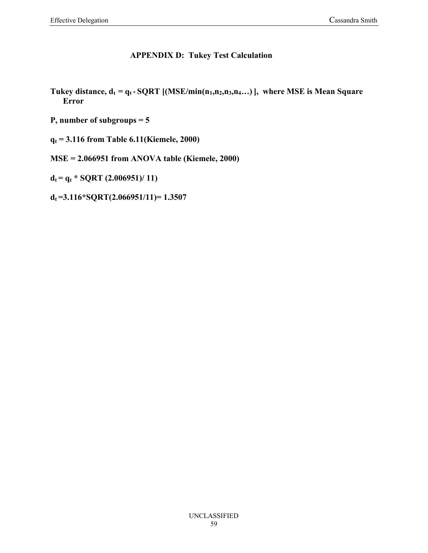## **APPENDIX D: Tukey Test Calculation**

- **Tukey distance,**  $d_t = q_t * \text{SQRT}$  **[(MSE/min(n<sub>1</sub>,n<sub>2</sub>,n<sub>3</sub>,n<sub>4</sub>...)], where MSE is Mean Square Error**
- **P, number of subgroups = 5**
- **q<sup>t</sup> = 3.116 from Table 6.11(Kiemele, 2000)**
- **MSE = 2.066951 from ANOVA table (Kiemele, 2000)**

 $d_t = q_t * SQRT$  (2.006951)/ 11)

**dt =3.116\*SQRT(2.066951/11)= 1.3507**